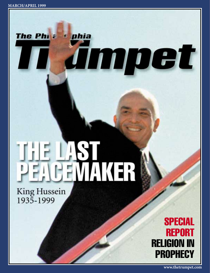The Phi<sup>2</sup>



phia

Jmpet

King Hussein 1935-1999



**www.thetrumpet.com**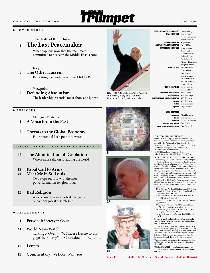# VOL. 10, NO. 3 — MARCH/APRIL 1999 **CIRC. 105,300**

#### ♦ **COVER STORY**

The death of King Hussein

#### **The Last Peacemaker** 2

What happens now that the man most committed to peace in the Middle East is gone?

**The Philadelphia** 

#### Iraq

#### **The Other Hussein**

Exploiting the newly sensitized Middle East

#### Viewpoint

#### **Defending Absolutism** 6

The leadership essential most choose to ignore

#### ♦ **ARTICLES**

5

Margaret Thatcher

- **A Voice From the Past** 8
- **Threats to the Global Economy** Four potential flash points to watch 9

#### **SPECIAL REPORT: RELIGION IN PROPHECY**

**The Abomination of Desolation** Where false religion is leading the world 16

#### **Papal Call to Arms** 22

**Meet Me in St. Louis** 24

> Two stops on tour with the most powerful man in religion today

#### **Bad Religion** 25

Americans do a great job at evangelism but a poor job at discipleship

#### ♦ **DEPARTMENTS**

- **Personal:** Victory in Court! 1
- **World News Watch:** Talking it Over — "A Sincere Desire to Engage the Enemy" — Countdown to Republic 14
- **Letters** 28
- **Commentary:** We Don't Want You 29



**ON THE COVER:** *Jordan's beloved and stately King Hussein died February 7.* (AP/Wideworld)





22



For a **FREE SUBSCRIPTION** in the U.S. and Canada, call **405-340-7474.**

PUBLISHER and EDITOR IN CHIEF SENIOR EDITORS MANAGING EDITOR ASSISTANT MANAGING EDITOR CONTRIBUTING EDITORS CONTRIBUTORS Eric Anderson **PHOTOGRAPHERS** PREPRESS PRODUCTION CIRCULATION INTERNATIONAL EDITIONS EDITOR German Italian Spanish Gerald Flurry Dennis Leap J. Tim Thompson Vyron Wilkins Stephen Flurry Joel Hilliker Ryan Malone Nancy Coffey Donna Grieves Deborah Leap Paula Powell Melody Thompson Magda Wilkins Gareth Fraser Ron Fraser Shane Granger Andrew Locher Wilbur Malone Gary Rethford David Jardine Stephen Flurry Mark Carroll Shane Granger Wik Heerma Wik Heerma Daniel Frendo Jorge Esparza

#### OFFICE DIRECTORS

**Britain, I** 

|                                         | Australasia Alex Harrison |
|-----------------------------------------|---------------------------|
| Canada                                  | Wayne Turgeon             |
| Caribbean                               | J. Tim Thompson           |
| Central and South America               | Ron Fraser                |
| Europe, Middle East, Africa John Durrad |                           |
|                                         |                           |

*THE PHILADELPHIA TRUMPET* (ISSN 10706348) is published monthly (except bimonthly March/April and September/October issues) by the Philadelphia Church of God, 1019 Waterwood Parkway, Suite F, Edmond, OK 73034. Periodicals postage paid at Edmond, OK, and additional mailing offices. ©1999 Philadelphia Church of God.

All rights reserved. PRINTED IN THE U.S.A. *HOW YOUR SUBSCRIPTION HAS BEEN PAID:*

*The Philadelphia Trumpet* has no subscription price — it is free. This is made possible by the tithes and offerings of the membership of the Philadelphia Church of God and others. Contributions, however, are welcomed and are tax-deductible in the United States, Canada, and New Zealand. Those who wish to voluntarily aid and support this worldwide Work of God are gladly welcomed as co-workers in the ef-fort to "hold fast" to the traditions established in the true Church by Herbert W. Armstrong and to proclaim a final warning to the world. Contributions or letters of interest may be sent to one of our offices nearest you:

- *United States:* PO Box 3700, Edmond, OK 73083. *Canada:* P.O. Box 61541, Fennel Postal Outlet, Hamilton, ON L8T 5A1
- *New Zealand and the Pacific Isles:* P.O. Box 38- 424, Howick, Auckland, 1730 *Australia:* P.O. Box 6626, Upper Mount Gravatt,
- QLD 4122 *Philippines:* P.O. Box 1372, Q.C. Central Post
- Office, Quezon City, Metro Manila *Britain, Europe, Middle East:* P.O. Box 1, Abbots Langley, Herts WD5 OBS *Africa:* P.O. Box 2969, Durbanville, 7551 South
- Africa

## **Be sure to notify us immediately of any change in your address. Please include your old mailing label and the new address.**

The publishers assume no responsibility for return of unsolicited artwork, photographs or manuscripts. The "LETTERS" section is made up of various letters from our readers. The editor reserves the right to use any letters, in whole or in part, as he deems in the public interest, and to edit the letter for clarity or space. Unless otherwise noted, the scriptures quoted in this

publication are from the King James Version of the Holy Bible. **U.S. POSTMASTER — send address changes to:**  *The Philadelphia Trumpet***, PO Box 3700, Edmond, OK 73083**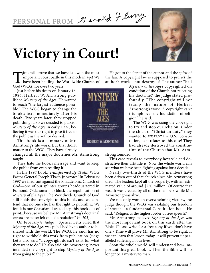# PERSONAL FROM 9 enold 7 luny

# **Victory in Court!**

Time will prove that we have just won the most<br>important court battle in this modern age! We<br>have been battling the Worldwide Church of<br>God (WCG) for over two years. important court battle in this modern age! We have been battling the Worldwide Church of God (WCG) for over two years.

Just before his death on January 16, 1986, Herbert W. Armstrong published *Mystery of the Ages.* He wanted to reach "the largest audience possible." The WCG began to change the book's text immediately after his death. Two years later, they stopped publishing it. So we decided to publish *Mystery of the Ages* in early 1997, believing it was our right to give it free to the public as the author desired.

This book is a summary of Mr. Armstrong's life work. But that didn't matter to the WCG. They have already

changed all the major doctrines Mr. Armstrong taught.

They hate the book's message and want to keep the public from even reading it!

In his 1997 book, *Transformed By Truth,* WCG Pastor General Joseph Tkach Jr. wrote*:* "In February 1997 we filed suit against the Philadelphia Church of God—one of our splinter groups headquartered in Edmond, Oklahoma—to block the republication of *Mystery of the Ages.* The Worldwide Church of God still holds the copyright to this book, and we contend that no one else has the right to publish it. We feel it is our Christian duty to keep this book out of print...because we believe Mr. Armstrong's doctrinal errors are better left out of circulation" (p. 203).

On February 8, Judge J. Spencer Letts ruled that *Mystery of the Ages* was published by its author to be shared with the world. The WCG, he said, has no right to withhold this work from publication. Judge Letts also said "a copyright doesn't exist for what they want to do." He also said Mr. Armstrong "never intended the copyright to stop *Mystery of the Ages* from going to the public."

He got to the *intent* of the author and the *spirit* of the law. A copyright law is supposed to *protect* the author's work—not destroy it! The author "had

*Mystery of the Ages* copyrighted on condition of the Church not rejecting his doctrine," the judge stated profoundly. "The copyright will not trump the nature of Herbert Armstrong's work. A copyright can't triumph over the foundation of religion," he said.

The WCG was using the copyright to try and stop our religion. Under the cloak of "Christian duty," they wanted to DESTROY the U.S. Constitution, as it relates to this case! They had already destroyed the constitution of the Church that Mr. Arm-

HERBERT W. ARMSTRONG

strong founded!

This case reveals to everybody how vile and destructive their attitude is. Now the whole world can see what we have been fighting against for a decade.

Nearly two-thirds of the WCG members have been driven out of that church since Mr. Armstrong died. The leaders kept all the property, with an estimated value of around \$250 million. Of course that wealth was created by all of the members while Mr. Armstrong was alive.

We not only won an overwhelming victory, the judge thought the WCG was violating our freedom of speech—a fundamental Constitution issue. He said, "Religion is the highest order of free speech."

Mr. Armstrong believed *Mystery of the Ages* was the most important book on this earth after the Bible. (Please write for a free copy if you don't have one.) Time will prove Mr. Armstrong to be right. If we can learn that lesson today, it will prevent unparalleled suffering in our lives.

Soon the whole world will understand how important this great book is. Then the Bible will no longer be a mystery to man.



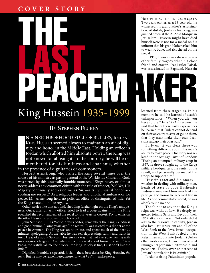## **COVER STORY**



HUSSEIN BECAME KING IN 1953 at age 17. Two years earlier, as a 15-year-old, he witnessed his grandfather's assassination. Abdullah, Jordan's first king, was gunned down at the Al Aqsa Mosque in Jerusalem. Hussein might have died himself were it not for a medal on his uniform that his grandfather asked him to wear. A bullet had ricocheted off the medal.

In 1958, Hussein was shaken by another family tragedy when his close friend and cousin, Iraqi ruler Faisal, was assassinated in Baghdad. Hussein

# King Hussein 1935-1999

### **BY STEPHEN FLURRY**

In the same of the same of the same of the same of the same of the same of the same of the same of the same of the same of the same of the same of the same of the same of the same of the same of the same of the same of the N A NEIGHBORHOOD FULL OF BULLIES, JORDAN'S KING HUSSEIN seemed always to maintain an air of dignity and honor in the Middle East. Holding an office in Jordan which allotted him absolute power, the King was not known for abusing it. To the contrary, he will be remembered for his kindness and charisma, whether in the presence of dignitaries or commoners.

Herbert Armstrong, who visited the King several times over the course of his ministry as pastor general of the Worldwide Church of God, was struck by this unusually humble monarch. "Kings never, or almost never, address any common citizen with the title of respect, 'Sir.' Yet, His Majesty continually addressed me as 'Sir,'—a truly unusual honor according me respect." As a religious leader and unofficial ambassador for peace, Mr. Armstrong held no political office or distinguished title. Yet the King treated him like royalty.

Other stories like that abound, shedding further light on the King's uniqueness. Once, after an army officer tried to lead a coup against him, the King squashed the revolt and exiled the rebel to four years *at Oxford*. Try to envision the *other* Hussein's response to such a rebellion.

John Simpson, BBC's World Affairs editor, remembers the King's kindness and good humor. "Some years ago," he writes, "I was invited to a dinner at the palace in Amman. The King was an hour late, and spent much of the next 20 minutes apologizing. At the table he was self-deprecating, funny and frank in turn. He spoke about Saddam Hussein in a way that had everyone roaring with unobsequious laughter. And when someone asked about himself he said, 'You know, the British call me the plucky little king. Plucky is fine; I just don't like the *little*.'"

Dignified, humble, respectful, jovial—these best describe King Hussein, *the man*. But he may be remembered more for what *he did*—make peace.

learned from these tragedies. In his memoirs he said he learned of death's unimportance—"When you die, you have to die." In a 1993 interview, he said that from these early experiences he learned that "rulers cannot depend on their advisors to save or guide them, that they must make their own decisions and go their own way."

Early on, it was clear there was something different about this man's ability to make peace. One story was related in the *Sunday Times* of London: "Facing an attempted military coup in 1957, he drove straight up to the Zerqa military headquarters, the center of the revolt, and personally persuaded the troops to support him."

Hussein's tact and diplomacy whether in dealing with military men, heads of state or poor Hashemite Bedouins—earned him much of the prestige and honor he received late in life. As one commentator noted, he was aloof around no one.

That's not to say that the King's reign was without flaw. He deeply regretted joining Syria and Egypt in their 1967 attack on Israel. Not only did it add to the region's instability, Jordan also lost East Jerusalem and all of the West Bank to the Jews. Israeli occupation in the West Bank fueled a mass Palestinian exodus into Jordan. (Unlike other Arab leaders, Hussein has offered immigrants Jordanian citizenship and passports. Today, over 65 percent of Jordan's population is Palestinian.)

Jordan's rising Palestinian popula-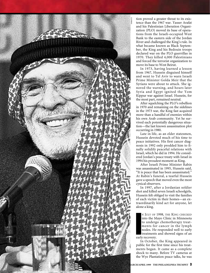

tion proved a greater threat to its existence than the 1967 war. Yasser Arafat and his Palestinian Liberation Organization (PLO) moved its base of operations from the Israeli-occupied West Bank to the eastern side of the Jordan River and challenged the King's rule. In what became known as Black September, the King and his Bedouin troops declared war on the PLO guerrillas in 1970. They killed 4,000 Palestinians and forced the terrorist organization to move its base to West Beirut.

In 1973, having learned a lesson from 1967, Hussein disguised himself and went to Tel Aviv to warn Israeli Prime Minister Golda Meir that the Syrians were about to attack. She ignored the warning, and hours later Syria and Egypt ignited the Yom Kippur war against Israel. Hussein, for the most part, remained neutral.

After squelching the PLO's rebellion in 1970 and remaining on the sidelines in the 1973 war, the King fast acquired more than a handful of enemies within his own Arab community. Yet he survived each potentially dangerous situation—the last known assassination plot occurring in 1980.

Late in life, as an elder statesmen, Hussein devoted much of his time to peace initiatives. His first cancer diagnosis in 1992 only prodded him to finally solidify peaceful relations with Israel, which he did in 1994. He considered Jordan's peace treaty with Israel in 1994 his proudest moment as King.

After Israeli Prime Minister Rabin was assassinated in 1995, Hussein said, "It is peace that has been assassinated." At Rabin's funeral, a tearful Hussein gave a speech that moved even the most cynical observers.

In 1997, after a Jordanian soldier shot and killed seven Israeli schoolgirls, Hussein felt obliged to visit the families of each victim in their homes—an extraordinarily kind act for anyone, let alone a king.

early N JULY OF 1998, THE KING CHECKED into the Mayo Clinic in Minnesota to undergo chemotherapy treatments for cancer in the lymph nodes. He responded well to early treatments and showed signs of an early recovery.

In October, the King appeared in public for the first time since his treatments began. It came as a complete shock to many. Before TV cameras at the Wye Plantation peace talks, he was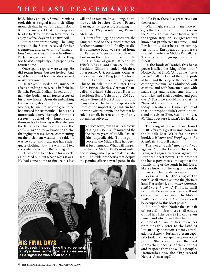bald, skinny and pale. Some Jordanians took this as a signal from their ailing monarch that he was on death's door. Rumors surfaced that the King was headed back to Jordan in November to enjoy his final days on his native soil.

But reports were wrong. The King stayed in the States, received further treatment, and news of his "miraculous" recovery again made headlines. By January, news spread that the King was healed completely and preparing to return home.

Once again, reports were wrong. He did return home, but not healed. And what he returned home to do shocked nearly everyone.

He arrived in Jordan on January 19 after spending two weeks in Britain. British, French, Italian, Israeli and finally the Jordanian air forces escorted his plane home. Upon disembarking the aircraft, despite the cold, rainy weather, he knelt to kiss the ground he had missed for six months. Then, as his motorcade drove through Amman's streets—packed with hundreds of thousands of cheering well-wishers the King poked his head outside the car's sunroof to acknowledge the thronging masses. Later, commenting on the inclement weather, he said, "It was so cold, and I did not have adequate clothing...but the warmth I felt everywhere was more than enough."

He was only to be home for a week, as it turned out. But what a week it was. He had come home to finalize his last will and testament. In so doing, he removed his brother, Crown Prince Hassan, as his successor, replacing him with his 37-year-old son, Prince Abdullah.

Hours after juggling successors, the King returned to the United States for further treatment and, finally, to die. His comatose body was rushed home on February 6, pronounced dead in Jordan on the 7th and buried on the 8th. His funeral guest list read like *Who's Who in 20th Century Politics*. President Clinton attended with three other former U.S. presidents. Other attendees included King Juan Carlos of Spain, French President Jacques Chirac, British Prime Minister Tony Blair, Prince Charles, German Chancellor Gerhard Schroeder, Russian President Boris Yeltsin and UN Secretary-General Kofi Annan, among many others. That list alone speaks volumes of the impact King Hussein had on world affairs, despite the fact that he ruled a small, barren country of only 41 /2 million subjects.

N MANY WAYS, THE LAST SIX MONTHS<br>of King Hussein's life mirrored the<br>the last 50 years of Middle East af-<br>fairs: unpredictable. To this point,<br>peace in the Middle East has been,<br>at best, tenuous. What will happen<br>now that N MANY WAYS, THE LAST SIX MONTHS of King Hussein's life mirrored the the last 50 years of Middle East affairs: unpredictable. To this point, peace in the Middle East has been, at best, tenuous. What will happen and distinguished peacemaker is absent? The Bible prophesies that despite the genuine efforts toward peace in the



Middle East, there is a great crisis on the horizon.

What might surprise many, however, is that the greatest threat to peace in the Middle East will come from *outside* the region. Regular *Trumpet* readers know that prophecies in Daniel 2 and Revelation 17 describe a soon-coming, ten-nation, European conglomerate that will interfere in Middle East affairs. The Bible calls this group of nations the "beast."

In the book of Daniel, this beast power is called the "king of the north." Notice Daniel 11:40: "And at the *time of the end* shall the king of the south push at him: and the king of the north shall come against him like a whirlwind, with chariots, and with horsemen, and with many ships; and he shall enter into the countries, and shall overflow and pass over." First, we should note that the "time of the end" refers to our time today. Elsewhere in Daniel, you read that the prophet didn't even understand this vision (Dan. 8:26; 10:14; 12:4, 9). That's because it wasn't for his day. It's for ours.

The king of the south in Daniel 11:40 refers to a great Islamic power in the Middle East. Write for our free booklet, *History and Prophecy in the Middle East,* for full details.

The word "push" means to "war against." So the king of the south, Islam, will aggressively war against the European beast power. That prompts the beast power to come against the Islamic king of the south in full force, like a whirlwind. The king of the north will overwhelm its Islamic enemy.

Verse 41: "He [the king of the north] shall enter also into the glorious land [Jerusalem], and *many countries shall be overthrown*...." This is no small skirmish. Verse 42 says Egypt will not escape this Euro-force. The Middle East's most powerful Arab nations will be occupied by this beast power.

But not Jordan! Notice the last half of verse 41: "...but these shall escape out of his [the beast's] hand, even *Edom*, and *Moab*, and the chief of the children of *Ammon*." These references unmistakably refer to the land of Jordan today. (*Ammon* is merely a variation of *Amman*, Jordan's present capital.) Jordan will escape European occupation. Other verses indicate that God spares them because of the kindness and respect they show His people. (Remember how the King treated Herbert Armstrong?)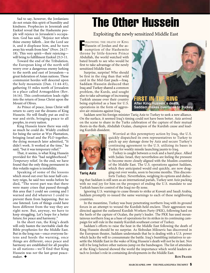Sad to say, however, the Jordanians do not retain this spirit of humility and kindness. Prophecies in Jeremiah and Ezekiel reveal that the Hashemite people will rejoice in Jerusalem's occupation. God has said, "Rejoice not when thine enemy falleth…lest the Lord see it, and it displease him, and he turn away his wrath from him" (Prov. 24:17- 18). This very spirit—their rejoicing will bring to fulfillment Ezekiel 25:3-11.

Toward the end of the Tribulation, the European king of the north will worry over a dangerous enemy lurking to the north and east of Jerusalem—a great federation of Asian nations. These communist hordes will descend upon the holy mountain (Dan. 11:44-45), gathering 55 miles north of Jerusalem in a place called Armageddon (Rev. 16:16). This confrontation leads right into the return of Jesus Christ upon the Mount of Olives.

As Prince of peace, Jesus Christ will return to carry out the dreams of King Hussein. He will finally put an end to war and strife, bringing peace to all peoples, in every nation.

King Hussein knew there was only so much he could do. Widely credited for being the savior at Wye Plantation, bringing Israel and the PLO together, the dying monarch later admitted, "It didn't work. It worked at the time," he said, "but it was temporary relief."

That, it seems, is what King Hussein provided for this "bad neighborhood." *Temporary* relief. In the end, we have found that the only thing permanent in this volatile region is instability.

Speaking of some of the lessons which stood out over his near half-century reign, he said two weeks before he died, "The worst part was that there were many crises that passed through this area that I could see coming and I warned and did whatever I could to prevent them from happening. But no one listened. Lots of things could have been different from the way they are right now. But, anyway, we have to keep struggling. Let's hope for a better future; for peace and harmony."

In the short run, the King's death will only hasten the inevitable clash the Bible prophesies for the Middle East. But in the long run—once everyone listens and heeds the warning, once things are different, once peace and harmony are established for all peoples in all nations—we'll find that King Hussein was *not* the last great peacemaker. ◆

# The Other Hussein

Exploiting the newly sensitized Middle East

**FOLLOWING THE DEATH OF KING**<br>Hussein of Jordan and the assumption of the Hashemite Hussein of Jordan and the assumption of the Hashemite throne by little-known Prince Abdullah, the world watched with bated breath to see who would be first to take advantage of the newly sensitized Middle East.

Surprise, surprise! Who should be first in the ring than that wild card in the Mid-East pack—Iraq. Saddam Hussein deduced that Iraq and Turkey shared a common problem, the Kurds, and sought also to take advantage of increasing Turkish unease over their country being exploited as a base for U.S. operations in the form of aggressive air-missions against Iraq.

Saddam sent his foreign minister Tariq Aziz to Turkey to seek a new alliance. On the surface, it seemed Iraq's timing could not have been better. Aziz arrived on the scene to share in the Turks celebration of the capture of their mutual thorn-in-the-flesh, Abdullah Ocalan, champion of the Kurdish cause and leading Kurdish dissident.



Worried at this peremptory action by Iraq, the U.S. quickly dispatched its own representatives to Turkey to patch up any damage done by Aziz and secure Turkey's continuing agreement to the U.S. utilizing its bases in Turkey for weekly missile launching jaunts to Iraq.

TIN THE RING

CORBIS

**Saddam makes overtures to Turkey**

**After King Hussein's death,** 

Turkey is caught between a rock and a hard place. Allied with Judaic Israel, they nevertheless are feeling the pressure to become more closely aligned with the Muslim countries of the Middle East. The U.S. operations against Saddam, which they anticipated would end quickly, are now dragging out over weeks, soon to become months. This discom-

**Tariq Aziz**

forts Turkey. Nevertheless, weighing its options and deducing that Saddam is still seen as an international pariah, Turkey sent Aziz packing with no real joy for him on the prospect of ending the U.S. mandate to use Turkish bases for control of the Iraqi no-fly zone.

Ignoring U.S. warnings to cease threats to strike at Kuwait and Saudi Arabia, Saddam promptly re-issued the same warnings to each of these neighboring countries.

In the meantime, Turkey was busy penetrating northern Iraq with its ground forces in an attempt to wound the Kurdish-held enclave. Their aggression was directed against the outlawed Kurdish Workers Party (PKK), following hard on the heels of the capture of Ocalan, the party's leader. The PKK has used mountainous northern Iraq as a base of operations for its strikes in its continuing campaign for self-rule in the mainly Kurdish southeast corner of Turkey.

Saddam's efforts to raise the heat in the Middle East following the death of King Hussein should be no surprise. As Slobodan Milosevic has discovered in the European theater, Saddam understands that he is dealing with a U.S. power which lacks the will to consummate the battle. Iraq's bumbling initiatives to unsettle the Middle East in the wake of King Hussein's death will not be its last. Nor will it be long before other nations jump on the bandwagon. The list of attendees at the King's funeral showed the world the importance which world leaders attach to Jordan's role in containing developments in the Middle East.

**RON FRASER**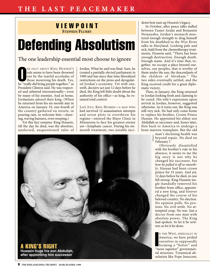### VIEWPOINT **STEPHEN FLURRY**

# Defending Absolutism

## The one leadership essential most choose to ignore

NE FACT ABOUT KING HUSSEIN'S<br>
rule seems to have been drowned<br>
out by the tearful accolades of<br>
those mourning his death. Yes,<br>
he "really did bring people together," as NE FACT ABOUT KING HUSSEIN'S rule seems to have been drowned out by the tearful accolades of those mourning his death. Yes, President Clinton said. He was respected and admired internationally—even by many of his enemies. And at home, Jordanians adored their king. (When he returned from his six-month stay in America on January 19, one-fourth of the country gathered on streets, in pouring rain, to welcome him—cheering, waving banners, even weeping.)

Yet this fact remains: King Hussein, till the day he died, was the absolute, unelected, unquestioned ruler of Jordan. What he said was final. Sure, he created a partially elected parliament in 1989 and has since that time liberalized restrictions on the press and deregulated Jordan's economy. Yet with one, swift, decisive act just 12 days before he died, the King left little doubt about the authority of his office—as king, he retained total control.

LAST JULY, KING HUSSEIN—A MAN WHO had survived 12 assassination attempts and seven plots to overthrow his regime—entered the Mayo Clinic in Minnesota to face his greatest enemy yet—lymphatic cancer. During his sixmonth treatment, two notable inci-



dents best sum up Hussein's legacy.

In October, after peace talks stalled between Yasser Arafat and Benjamin Netanyahu, Jordan's monarch mustered enough strength to drag himself from his deathbed to the Wye River talks in Maryland. Looking pale and sick, bald from the chemotherapy treatments, Hussein said, "There has been enough destruction. Enough death. Enough waste. And it's time that, together, we occupy a place beyond ourselves, our peoples, that is worthy of them under the sun, the descendants of the children of Abraham." The two sides eventually settled, and the King received credit for a great diplomatic victory.

Then, in January, the King returned to Jordan looking fresh and claiming to be cured. His wife's expression upon arrival in Jordan, however, suggested otherwise. As it turns out, the King was still very sick. He had only come home to replace his brother, Crown Prince Hassan. He appointed his eldest son Abdullah as successor and, hours later, flew back to America to undergo a bone marrow transplant. But the old

> man's declining health was **b** man s decrimate the died on February 7. CORBIS

Obviously dissatisfied with his brother's rule in his absence, it seems to me the big story is not why he changed his successor, *but how he pulled it off so smoothly*. Hassan had been crown prince for 33 years. And yet, 12 days before he died, in one fell swoop, King Hussein single-handedly removed his brother from office, appointed a new king, and forever changed the course of his beloved country. No election. No opinion polls. No protests. No civil strife. No attempted coup. No war. Just a decree from one man with absolute power. The King had spoken. So let it be written; so let it be done.

N THE WEST, ESPECIALLY IN<br>America, we have prided<br>ourselves in supposedly<br>forming a "better" and<br>"more superior" governmen N THE WEST, ESPECIALLY IN America, we have prided ourselves in supposedly "more superior" governmental structure. Tyrannical absolutists like Pope Innocent,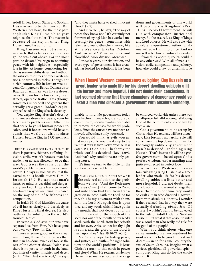Adolf Hitler, Joseph Stalin and Saddam Hussein are to be demonized. But Western elites have, for the most part, applauded King Hussein's 46-year reign as absolute ruler. The reason is because of the *way* in which King Hussein used his authority.

King Hussein was not a perfect monarch. But as far as absolute rulers go, he was a cut above. For the most part, he devoted his reign to obtaining peace with his neighbors—especially late in life. At home, considering Jordan is seven-eighths desert and without the oil-rich resources of other Arab nations, he worked miracles. Though not a rich country, life in Jordan was decent. Compared to Beirut, Damascus or Baghdad, Amman was like a desert oasis. Known for its low crime, clean streets, operable traffic lights (though sometimes unheeded) and gardens that actually grew green, Jordan's capital city reflected the King's basic decency.

Yet, despite King Hussein's decency and sincere desire for peace, even he faced many problems and difficulties that were beyond human power to solve. And if honest, we would have to admit that world conditions since Hussein became King in 1953 are much nastier.

THERE IS A CAUSE FOR EVERY EFFECT. IF there is poverty, sickness, suffering, division, strife, war, it's because man has made it, or at least allowed it, to be that way. God traces the cause of all the world's problems back to man's carnal nature. He says in Romans 8:7 that the carnal mind is hostile toward Him. In Jeremiah 17:9, He says that man's heart, or mind, is deceitful and desperately wicked. It gets back to man's heart—the way we are living. It's based on the way of sin, of selfishness and competition.

In Isaiah 59, God identifies the cause of evil just as clearly and decisively as King Hussein's final decree. He also outlines the solution to the world's troubles. Notice!

In verse 2, God says our sins have separated us from Him. We have gone our own way (Prov. 14:12).

There is some good in the carnal mind. King Hussein's life proves that. But man has done much evil too, as the rest of the chapter shows. Isaiah says there is no justice or truth in the land, but instead vanity, mischief and deceit (v. 4). "Their feet run to evil," he says,

"and they make haste to shed innocent blood" (v. 7).

And in verse 8, he says, "The way of peace they know not." It's certainly not for want of trying! Man has worked unceasingly for peace—sometimes with relentless, round-the-clock fervor, like at the Wye River talks last October. And for what? More violence and bloodshed. More division. More war.

For 6,000 years, our civilization, and every type of government it has created, has looked for solutions it has been

doms and governments of this world will become *His* Kingdom! (Rev. 11:15). One world government. He will rule with compassion, justice and mercy. But be assured, as King of kings and Lord of lords, He will also rule with absolute, unquestioned authority. No one will vote Him into office. And no one will vote Him out—for all eternity.

If you think about it, really, could it be any other way? With all of man's division, strife, competition and jealousy, how else could a law of unselfish love

When I heard Western commentators eulogizing King Hussein as a great leader who made life for his desert-dwelling subjects a little better and more hopeful, I did not doubt their conclusions. It just seemed strange that these champions of democracy would so exalt a man who directed a government with absolute authority.

unable to find. No government today —whether monarchy, democracy, communism, socialism—has been able to remove the causes for world problems. Since the causes have not been removed, effects have only worsened.

You would think, as evils worsen, that more people would wake up to the fact that THIS IS NOT GOD'S WORLD. It is Satan's! (II Cor. 4:4). That's why the whole world is deceived (Rev. 12:9). And that's why conditions are only getting worse.

It's time we turn to the Bible for the solution to these problems.

SAIAH CONCLUDES CHAPTER 59 WITH<br>the only real solution to the prob-<br>lems we face. "And the Redeemer<br>[Jesus Christ] shall come to Zion,<br>and unto them that turn from trans-SAIAH CONCLUDES CHAPTER 59 WITH the only real solution to the problems we face. "And the Redeemer [Jesus Christ] shall come to Zion, gression in Jacob, saith the Lord. As for me, this is my covenant with them, saith the Lord; My spirit that is upon thee, and my words which I have put in thy mouth, shall not depart out of thy mouth, nor out of the mouth of thy seed, nor out of the mouth of thy seed's seed, saith the Lord, from henceforth and for ever. Arise, shine; for thy light is come, and the glory of the Lord is risen upon thee" (Isa. 59:20-21; 60:1).

Man's only hope for lasting peace, and justice, and truth—for right solutions to the world's problems—is Jesus Christ's return to this earth in power and glory! When He returns, as He says He will in so many scriptures, the kingbe enforced worldwide unless there was an all-powerful, all-knowing, all-loving God at the helm to enforce and live by such a law?

God's government, to be set up by Christ when He returns, will be a theocracy. Like Jordan's monarchy, rule will come from the top down. But it will be thoroughly unlike any government man has devised—including King Hussein! That's because it will be a *perfect* government—based upon God's perfect wisdom, understanding and justice—directed in perfect love.

When I heard Western commentators eulogizing King Hussein as a great leader who made life for his desertdwelling subjects a little better and more hopeful, I did not doubt their conclusions. It just seemed strange that these champions of democracy would so exalt a man who directed a government with absolute authority. I wonder if they realized that in a way they were actually defending *absolutism*. Of course, I wouldn't want to be subjected to the rule of Adolf Hitler or Saddam Hussein. But what if that absolute ruler was a good man who really did rule for the good of the people?

When you think about what one carnal-minded man—considered by most accounts to be good, honest and decent—can do for a small country the size of South Carolina, imagine what a perfect, glorified, all-powerful, spiritcomposed King can do for the whole world. ◆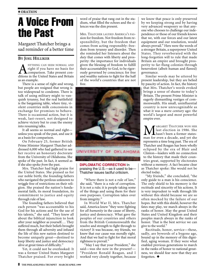# A Voice From the Past

Margaret Thatcher brings a sad reminder of a better time

#### **BY JOEL HILLIKER**

ANYTHING CAN SEEM NORMAL AND right if you have no basis for comparison. Take present conditions in the United States and Britain as an example.

There is a sense of right and wrong, but people are resigned that wrong is too widespread to condemn. There is talk of using military might to vanquish tyranny, but the real battlefield is the bargaining table, where tiny, violent countries milk concessions in exchange for promises to behave. There is occasional action, but it is weak, last-resort, not designed to achieve victory but to coax the enemy into resuming talks.

It all seems so normal and right unless you speak of the past, and use it as a basis for comparison.

On February 25, former British Prime Minister Margaret Thatcher addressed 6,000 who had gathered to see her receive an honorary doctorate from the University of Oklahoma. She spoke of the past. In fact, it seemed as if she also spoke *from* the past.

Mrs. Thatcher had high praise for the United States. She praised us for our noble birth; the founding fathers who navigated the perilous unknown to wriggle free of restrictions on their religion. She praised the nation's fundamental faith, its moral foundation, its commitment to justice and equity through rule of law.

The founding fathers believed that each person "was accountable to his God for his actions and for the use of his talents," she said. "They knew all about the biblical injunction to look after your neighbor as yourself.… They suffered much, but their beliefs brought them through all adversity and infused the life of this new nation destined to become uniquely great—destined to keep liberty and justice and democracy alive at great times of difficulty."

Yet, it could not be overlooked: It was a former United States Margaret Thatcher praised. For every bright

word of praise that rang out in the stadium, what filled the echoes and the silences was the dim present.

MRS. THATCHER LAUDED AMERICA'S PASsion for freedom. Not freedom from responsibility, but the freedom that comes from acting responsibly: freedom from tyranny and disorder. Then she reminded her listeners about the *duty* that comes with liberty and prosperity: the importance for individuals given the blessing of freedom to fulfill their accountability to God, to be rigorously governed by conscience; for free and wealthy nations to fight for the half of the world's countries that are not free.



#### UNIVERSITY OF OKLAHOMA

**DIPLOMATIC CORRECTION** In praising the U.S.—as it used to be— Thatcher issues tactful criticism.

"Where there is not a rule of law," she said, "there is a rule of corruption. It is not a rule; it is people taking some of the things and using them for their own purposes. Corruption takes over from integrity."

In World War II, Mrs. Thatcher said, America knew "they were fighting for *all humanity* in the cause of liberty, justice and democracy. What gave the peoples of our countries and others from the British Commonwealth the resolve and strength to fight through to victory? It was because, my friends, we knew that our cause was morally right. And that we had to fight for that moral rightness to prevail."

"May I say that your President," she said—was she now in the present?— "President Ronald Reagan, and I worked very closely together, because

we know that peace is only preserved by we keeping strong and by having very advanced weaponry so that anyone who chooses to challenge our independence or those of our friends knows that we, with our forces and our latest equipment and our resolution, would always prevail." Hers were the words of a stronger Britain, a superpower United States. They reverberated with the long-forgotten will to rule that made Britain an empire and brought prosperity to far-flung colonies through benevolent (albeit human and flawed) governance.

Similar words may be uttered by present leadership, but they are belied by paucity of action. In fact, the history that Mrs. Thatcher's words evoked brings a sense of shame to today's Britain. The present Prime Minister is eagerly dismantling vestiges of commonwealth. His small, uninfluential country is now unrecognizable as what it was a mere century ago: the world's largest and most powerful empire ever.

TRUMPET

**MARGARET THATCHER WON HER**<br>hasn't been a former states-<br>man for even a decade, and yet she last election in 1986. She man for even a decade, and yet she represents a time long past. The era of Thatcher and Reagan has been wholly eclipsed by the era of Blair and Clinton—leaders with no connection to the history that made their countries great, supported by electorates without a memory. A fact became clear as Thatcher spoke: She would not be elected today.

"My friends," she concluded, "the only guide to a man is his conscience. The only shield to his memory is the rectitude and sincerity of his actions. It is very imprudent to walk through life without this shield because we are so often mocked by the failure of our hopes. But with this shield, however the fates may play, we march always in the ranks of honor. May the great United States and United Kingdom and their peoples march always in the ranks of honor. That is the best service we can give to the world."

Rectitude, honor, service—these, sadly, are bywords of a bygone age, bound up in the memory of this dignified, aging woman. If they were what enabled previous generations to march in the ranks of honor to national greatness, we should fear now that they are forgotten. ◆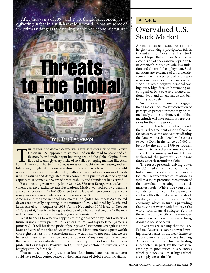After the events of 1997 and 1998, the global economy is  $\frac{1}{8}$   $\rightarrow$  ONE quivering in fear in a still-hazardous world. What are some of the primary dangers threatening mankind's economic future?



HE TRIUMPH OF GLOBAL CAPITALISM AFTER THE COLLAPSE OF THE SOVIET Union in 1991 appeared to set mankind on the road to peace and affluence. World trade began booming around the globe. Capital flows flooded seemingly every niche of so-called emerging markets like Asia, Latin America and Eastern Europe, as investors sought ever-increasing and exhilaratingly high returns on investment. Stock markets around the world seemed to burst in unprecedented growth and prosperity as countries liberalized, privatized and deregulated their economies in pursuit of democracy and capitalism. It seemed a new era of peace, stability and abundance had arrived!

But something went wrong. In 1992-1993, Western Europe was shaken by violent currency-exchange-rate fluctuations. Mexico was rocked by a banking and currency crisis in 1994-1995 when total collapse of their economy and currency was only narrowly averted by a massive \$50 billion bailout led by America and the International Monetary Fund (IMF). Southeast Asia melted down economically beginning in the summer of 1997, followed by Russia and Latin America in August of 1998. As the November 1998 issue of *Current History* put it, "Far from being the decade of global capitalism, the 1990s may well be remembered as the *decade of financial instability."*

What happens to America happens to the global economy. And America's future is not a pretty picture. In Leviticus 26:19, God says to Israel (America primarily), "I will break the pride of your power." Economic strength is at the heart and core of the pride of America's power. Many Americans equate wealth with righteousness. In the American mind, wealth shows not only that we are better off than others—it shows we are superior. Many Americans even view their wealth as an indicator of moral superiority, but God sees that only as pride, and as it says in Proverbs 16:18, "Pride goes before destruction, and a haughty spirit before a fall."

That fall is coming. At present, at least four immediate areas of concern could have serious consequences on the fragile state of global economic affairs.

INDEX STOCK

## Overvalued U.S. Stock Market

AFTER CLIMBING BACK TO RECORD heights following a precipitous fall in the autumn of 1998, the U.S. stock market began fluttering in December in a confusion of peaks and valleys in spite of America's robust growth, low inflation and almost-full employment. Such gyrations are evidence of an unhealthy economy with severe underlying weaknesses such as an extremely overvalued stock market, a negative personal savings rate, high foreign borrowing accompanied by a severely bloated national debt, and an enormous and ballooning trade deficit.

Such flawed fundamentals suggest that a major stock market correction of perhaps 25 percent or more may be immediately on the horizon. A fall of that magnitude will have ominous repercussions for the entire world.

With much volatility in the market, there is disagreement among financial forecasters, some analysts predicting the Dow will reach 10,000 while others expect a Dow in the range of 7,000 or below by the end of 1999 or sooner. Time will tell whether the amazingly resilient U.S. economy and markets can withstand the powerful economic forces at work around the globe.

The forces presently driving down the U.S. market include a fear of soonto-be rising interest rates due to an anticipated reappearance of inflation, as well as a more profound recognition of the overvaluation existing in the stock market itself. White-hot consumer confidence, propped up by the income and wealth effect of a soaring stock market, is fueling the booming U.S. economy, which in turn is providing the buying power needed to save the world from financial collapse. Yet it is the enormous strength of the American economy which now threatens to bring down the house of cards.

Investors are sensing that the U.S. Federal Reserve is leaning toward raising interest rates in the near future to slow down the rapidly overheating American economy. This overheating is reflected, in part, by the excessive earnings-to-price ratios in U.S. stocks which put stock values at highs which are simply unsustainable.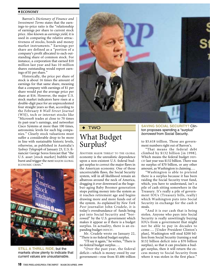#### ♦ **ECONOMY**

Barron's *Dictionary of Finance and Investment Terms* states that the earnings-to-price ratio is the "relationship of earnings per share to current stock price. Also known as *earnings yield,* it is used in comparing the relative attractiveness of stocks, bonds and money market instruments." Earnings per share are defined as a "portion of a company's profit allocated to each outstanding share of common stock. For instance, a corporation that earned \$10 million last year and has 10 million shares outstanding would report earnings of \$1 per share."

Historically, the price per share of stock is about 16 times the amount of earnings for that same share, meaning that a company with earnings of \$1 per share would put the average price per share at \$16. However, the major U.S. stock market indicators have risen at a double-digit pace for an unprecedented four straight years so that, according to the February 8 *Wall Street Journal* (WSJ), tech or internet stocks like "Microsoft trades at close to 70 times its past-year's earnings, and networker Cisco Systems at more than 100 times, astronomic levels for such big companies." Clearly stock valuations must suffer a considerable drop to be more in line with sustainable historic levels, otherwise, as published in Australia's *Sydney Telegraph* of January 23, U.S. financier George Soros forecast that "the U.S. asset [stock market] bubble will burst and trigger the next MAJOR GLOBAL ECONOMIC CRISIS."



**STILL A THRILL RIDE,** but the markets show plenty to indicate that current values are unsustainable.



#### ◆ TWO

## What Budget Surplus?

ANOTHER MAJOR THREAT TO THE GLOBAL economy is the unrealistic dependence upon a non-existent U.S. federal budget surplus to correct the major flaws in the American economy. One of those uncorrectable flaws, the Social Security system, will in all likelihood remain an albatross around the neck of America, dragging it ever downward as the hugebut-aging Baby Boomer generation stops putting money into the system as it reaches retirement age and begins drawing more and more funds out of the system. As explained by *New York Post* journalist John Crudele, it is today's overabundance of funds being put into Social Security and "borrowed" by the U.S. government which makes it appear as if there is a budget surplus. In actuality, there is an expanding budget DEFICIT.

Mr. Crudele wrote on January 22, "There is no federal budget surplus.

"I'll say it again," he writes, "There is no federal budget surplus….

"Over the past year, the federal deficit—which is money owed by our government—rose from \$5.486 trillion

**SAVING SOCIAL SECURITY?** Clinton proposes spending a "surplus" *borrowed* from Social Security.

to \$5.618 trillion. Those are government numbers right out of Barron's.

"That means the federal debt climbed by \$132 billion [in 1998]. Which means the federal budget DEFI-CIT last year was \$132 billion. There was no surplus of \$70 billion, or any other amount, as Washington is claiming….

"Washington is able to pretend there is a surplus because it has been raiding the Social Security trust fund, which, you have to understand, isn't a pile of cash sitting somewhere in the Treasury. It's really a pile of government IOUs (Treasury bills, really) which Washington puts into Social Security in exchange for the cash it steals.

"And it is our cash that is being stolen. Anyone who pays into Social Security is really unwittingly buying IOUs from a government that might not be able to pay in decades to come…. [Under President Clinton's plan], Washington will steal \$200 billion from Social Security (turning a real \$132 billion deficit into a \$70 billion surplus), so that it can proclaim a budget surplus, then it will return the excess money to Social Security from where it was stolen in the first place."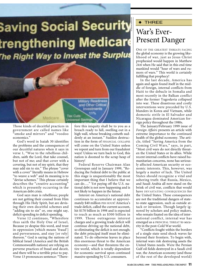# **Saving Social Security** trengthening Medicare The Right Way to Invest the Surplus



Those kinds of deceitful practices in government are called names like "smoke and mirrors" and "voodoo economics."

God's word in Isaiah 30 identifies the problems and the consequences of our deceitful natures when it says in verse 1, "Woe to the rebellious children, saith the Lord, that take counsel, but not of me; and that cover with a covering, but not of my spirit, that they may add sin to sin." The phrase "cover with a cover" literally means in Hebrew "to weave a web" and its meaning is to "devise schemes." This phrase certainly describes the "creative accounting" which is presently occurring in the American debt crisis.

God says man is rebellious; people are not getting their counsel from Him through His Holy Spirit, but are devising their own deceitful schemes and "adding sin to sin" or, one might say, deficit spending to deficit spending.

Verse 12 continues, "Wherefore thus saith the Holy One of Israel, Because ye despise this word, and trust in oppression [which means 'fraud'] and perverseness, and stay [or rely] thereon." God is saying the nations of biblical Israel (America and the British Commonwealth nations) are relying on perverse practices of fraud and deceit, and there will be a terrible price to pay. Verse 13 pronounces sentence: "Therefore this iniquity shall be to you as a breach ready to fall, swelling out in a high wall, whose breaking cometh suddenly at an instant." Sudden destruction in the form of FINANCIAL COLLAPSE will come on the United States unless we repent and turn from our fraudulent ways! Unless we turn back to God, this nation is doomed to the scrap heap of history!

Federal Reserve Chairman Alan Greenspan said in January 1999, "Reducing the Federal debt to the public at this stage is unquestionably the most important thing that I believe that we can do…." Yet paying off the U.S. national debt is not now happening and is not likely to happen in the future.

Interest on America's national debt continues to accumulate at approximately \$40 million PER HOUR! America's trade deficit, called the current account, hit \$170 billion in 1998 and is expected to reach as much as \$300 billion in 1999. Those outrageous interest charges and a growing trade deficit will continue driving up the national debt, so eliminating the deficit is not enough; the debt principal itself must be eliminated. To do otherwise leaves in place this enormous threat to the American economy—and that threatens the entire world, which is totally dependent for economic survival upon continued massive spending by U.S. consumers.

### ◆ THREE

AP/WIDEWORLD

# War's Ever-Present Danger

ONE OF THE GREATEST THREATS FACING the global economy is the growing likelihood of war, just as Jesus Christ prophesied would happen in Matthew 24:6 when He said that in this end time mankind would "hear of wars and rumors of wars." This world is certainly fulfilling that prophecy!

In the last decade, America has again and again found itself in the middle of foreign, internal conflicts from Haiti to the debacle in Somalia and most recently in the Balkan conflict after the former Yugoslavia collapsed into war. These disastrous and costly interventions were preceded by U.S. blunders in Korea and Vietnam, while domestic strife in El Salvador and Nicaragua dominated American foreign policy throughout the 1980s.

The January/February 1999 issue of *Foreign Affairs* presents an article with extreme importance to the continued health of the global economy. The article, titled "Saving America from the Coming Civil Wars," says, in part, "Most civil wars do not directly threaten the United States or its allies. While recent internal conflicts have raised humanitarian concerns, none has seriously affected American security or economic interests. This, however, was largely a matter of luck. The United States should recognize a vital and sobering truth: that Russia, Mexico, and Saudi Arabia all now stand on the brink of civil war, conflicts that would have DEVASTATING CONSEQUENCES for the United States. These consequences are not the traditional dangers of stateto-state aggression, such as outside attack or invasion. Though largely ignored by scholars and policy makers, who remain fixated on the idea of international conflict, internal war has emerged as a PRINCIPAL THREAT to security in the post-Cold War world.

"Conflicts fought within the borders of a single state send shock waves far beyond their frontiers. To begin with, internal wars risk destroying assets the United States needs. Were the Persian Gulf oil fields destroyed in a Saudi civil war, the American economy (and those of the rest of the developed world)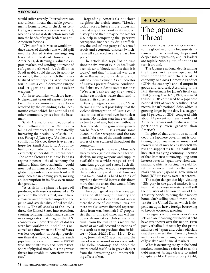#### ♦ **ECONOMY**

would suffer severely. Internal wars can also unleash threats that stable governments formerly held in check. As central governments weaken and fall, weapons of mass destruction may fall into the hands of rogue leaders or anti-American factions….

"Civil conflict in Mexico would produce waves of disorder that would spill into the United States, endangering lives of hundreds of thousands of Americans, destroying a valuable export market, and sending a torrent of refugees northward. A rebellion in Saudi Arabia could destroy its ability to export oil, the oil on which the industrialized world depends. And internal war in Russia could devastate Europe and trigger the use of nuclear weapons.'

All three countries, which are heavily dependent upon oil exports to sustain their economies, have been wracked by the expanding global economic crisis which has sent oil and other commodity prices into the basement.

Saudi Arabia, for example, posted a \$12.3 billion deficit in 1998 due to falling oil revenues, thus dramatically increasing the possibility of social unrest. *Foreign Affairs* says, "As likely as is conflict in Mexico, there is even less hope for Saudi Arabia…. A country built on contradictions, Saudi Arabia is extremely vulnerable to internal war. The same factors that have kept its regime in power—the oil economy, the military, Islam, the royal family—could now fuel an insurrection. Meanwhile, global dependence on Saudi oil will only increase in coming years, making an interruption in its flow even more dangerous….

"A crisis in the planet's largest oil producer, with reserves estimated at 25 percent of the world's total, would have a massive and protracted impact on the price and availability of oil worldwide…. The oil shocks of the 1970s threw the United States into recession, causing spiraling inflation and a decline in savings rates that plagues the U.S. economy even now. Trillions of dollars were lost worldwide. And all this occurred at a time when the United States was less dependent on foreign petroleum than it is now. Cutting the Saudi pipeline today would cause a SEVERE WORLDWIDE RECESSION OR DEPRESSION. Short of physical attack, it is the gravest threat imaginable to American interests."

Regarding America's southern neighbor the article states, "Mexico today faces a future more uncertain than at any other point in its modern history," and that it may be too late for U.S. help in conquering the "pervasive corruption financed by drug traffickers, the end of one-party rule, armed revolt and economic disaster [which] have all surfaced over the past few years."

The article also says, "At no time since the civil war of 1918-20 has Russia been closer to bloody conflict than it is today," and that "if internal war does strike Russia, economic deterioration will be a prime cause." As an indicator of Russia's present financial condition, the February 6 *Economist* states that "Western bankers say they would rather eat nuclear waste than lend to Russia in its current state."

*Foreign Affairs* concludes, "Most alarming is the real possibility that the violent disintegration of Russia could lead to loss of control over its nuclear arsenal. No nuclear state has ever fallen victim to civil war, but even without a clear precedent the grim consequences can be foreseen. Russia retains some 20,000 nuclear weapons and the raw material for tens of thousands more, in scores of sites scattered throughout the country….

"If war erupts, however, Moscow's already weak grip on nuclear sites will slacken, making weapons and supplies available to a wide range of anti-American groups and states. Such dispersal of nuclear weapons represents the greatest physical threat America now faces. And it is hard to think of anything that would increase this threat more than the chaos that would follow a Russian civil war."

The scourge of war has ravaged mankind all throughout history and scripture makes it clear that not only is there the curse of lost human lives, but there are also severe financial repercussions from war. Jeremiah 5:17 prophesies that in this end time, war will impoverish our cities. Unless mankind turns from the evil in this world, the sword of war will descend on nations of this earth as at no previous time in history (Matt. 24:21; Dan. 12:1). Even now, Jeremiah 6:25 says, war and the fear of war surround us on every side. The global economy, and indeed the entire world itself, is in grave danger from the devastating and impoverishing effects of war.

#### **FOUR**

# The Japanese Threat

JAPAN CONTINUES TO BE A MAJOR THREAT to the global economy because its financial house is sinking deeper and deeper into depression, and its leaders are rapidly running out of options to turn it around.

The Japanese national debt is among the biggest in the developed world when compared with the size of its economy or Gross Domestic Product (GDP: the country's annual output in goods and services). According to the IMF, the estimate for Japan's fiscal year 1998 (ending March 31, 1999) is a \$4.34 trillion GDP compared to a Japanese national debt of over \$3.5 trillion. That means Japan's national debt, which is growing larger by the day, is a staggering 81 percent of GDP, compared with about 45 percent for heavily indebted America. Japan's indebtedness is proportionately even greater than America's!

In spite of that enormous national debt, the Japanese government is continuing to borrow massive amounts of money in what may be a LAST-DITCH EF-FORT to support its failing banks and kick-start its dying economy. Because of that immense borrowing, long-term interest rates in Japan have risen dramatically, which is forcing the yield (or return on investment) on the benchmark ten-year Japanese government bond (JGB) to rise by over 300 percent.

The major danger that high-yielding JGBs play in the global market is the fear that Japanese investors will sell their quarter of a trillion dollars of U.S. Treasury bonds to bring their money home. Such selling would mean DISAS-TER for the United States, which is dependent upon heavy foreign borrowing to keep its economy growing.

Foreigners who own America's assets and are financing our national debt have great power over this nation. Even past verbalized threats by the prime minister of Japan and other officials that they may sell their Treasury bonds and discontinue buying have dramatically shaken our financial markets.

What is occurring today in the bond market, sometimes referred to as the debt market, brings clearly to mind scriptures like Deuteronomy 28:44,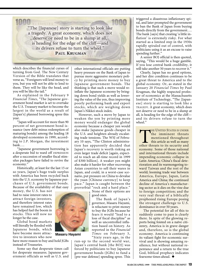

which describes the financial curses of turning from God. The New Century Version of the Bible translates that verse as, "Foreigners will lend money to you, but you will not be able to lend to them. They will be like the head, and you will be like the tail."

As explained in the February 9 *Financial Times*, "The Japanese government bond market is set to overtake the U.S. Treasury market to become the largest in the world as a result of [Japan's] planned borrowing spree this year.

"Japan will account for more than 90 percent of net government bond issuance (new debt minus redemption of maturing bonds) among the leading 18 developed economies in 1999, according to J.P. Morgan, the investment bank….

"Japanese government borrowing is a desperate bid to ward off DEPRESSION after a succession of smaller fiscal stimulus packages have failed to revive the economy."

Historically, at least for the last 15 or so years, Japan's huge trade surplus with America has been recycled back into the U.S. economy by Japanese purchases of U.S. government bonds. Because of the availability of that easy

money, the U.S. has not had to raise interest rates to attract foreign investors, and therefore interest rates have remained low, which has helped fuel the boom in stocks. This will now no longer be the case.

Global bond markets will literally be flooded with Japanese bonds, which have become more attractive to investors who now

have more reason to buy and hold JGBs instead of Treasuries.

Some say that desperate times call for desperate measures. Japanese government officials as well as U.S. and

other international officials are putting heavy pressure on the Bank of Japan to pursue more aggressive monetary policy by printing more money to buy Japanese government bonds. The thinking is that such a move would reinflate the Japanese economy by bringing down bond yields as well as lowering the value of the yen, thus improving poorly performing bank and export stocks, which are weighing down Japan's Nikkei stock index.

However, such a move by Japan to weaken the yen by printing more money would endanger the global economy because a cheaper yen would also make Japanese goods cheaper in the U.S. and heighten already escalating trade tensions. The WSJ of February 10 says, "The Clinton administration has apparently decided that Japan's recovery is worth risking an even larger trade deficit [again, expected to reach an all-time record in 1999 of \$300 billion]. A weaker yen might also make it harder for other recovering Asian countries to sell their wares in Japan, and could, in a worst-case scenario, put pressure on China to devalue the yuan [Chinese currency] to keep pace." Japan is caught between the proverbial "rock and a hard place."

> None of their options are good ones.

AP/WIDEWORLD

The Bank of Japan's governor, Masaru Hayami, is reluctant to print money to buy the JGBs because he fears it would "lead to a loss of fiscal discipline" as well as uncontrolled inflation based on history. As reported in the *Financial Times* on February 5, "Sixty years ago, in the

run-up to the second world war, Japan's central bank [the BOJ] was forced by politicians to buy Japanese government bonds (JGBs) to fund a [pre-war defense] spending spree. This

triggered a disastrous inflationary spiral, and later prompted the government to ban the Bank of Japan from buying bonds directly from the government…. The bank [says] that creating 'a little inflation' is extremely risky. For what started as a limited step in the 1930s rapidly spiraled out of control, with politicians using it as an excuse to raise spending further."

A senior BOJ official is then quoted, saying, "This would be a huge gamble. If you lose central bank credibility, it will take another 50 years to recover it."

Clearly, Japan has no good options, and her dire condition continues to be a great threat to America and to the global economy. Or, as stated in the January 20 *Financial Times* by Paul Krugman, the highly respected professor of economics at the Massachusetts Institute of Technology, "The [Japanese] story is starting to look like a TRAGEDY. A great economy, which does not deserve or need to be in a slump at all, is heading for the edge of the cliff and its drivers refuse to turn the wheel."

THE UNITED STATES IS UNDER<br>the imminent threats<br>mentioned throughout<br>this article as well as many<br>other threats to its security and the imminent threats mentioned throughout this article as well as many economy. Some of those national and international threats include impending economic collapse in Latin America; China's fiscal deterioration and its warmongering toward Taiwan and the rest of the world; looming trade war between America, Europe, Japan, Latin America and China; the continued decline of America's manufacturing sector as it dies on the vine due to foreign competition; and the very real threat of a biblically prophesied rising Europe posing the strongest challenge to U.S. dominance in over 50 years.

The potential for all of this to suddenly come to pass is clearly there. In spite of the glowing reports being foisted on a naïve citizenry, America is in grave danger and, therefore, so is the global economy. America is continuing its valiant fight for economic survival and is showing amazing resilience, but without national repentance and a return to the true God, biblical prophecy indicates fearsome times ahead. ◆



**Masaru Hayami**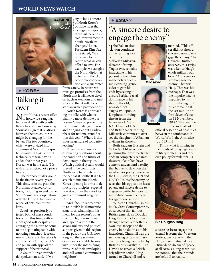#### **WORLD NEWS WATCH**



◆ KOREA

## Talking it over

North Korea's recent offer to hold wide-ranging, high-level talks with South Korea has been welcomed by Seoul as a sign that relations between the two countries might be changing for the better. The two countries, which were divided into communist North and capitalist South in 1945, are still technically at war, having ended their three-year Korean war in the early '50s with an armistice, not a peace treaty.

The proposed talks would be the first in several years. This time, as in the past, the North has attached conditions, including an end to the South's military cooperation with the United States and a repeal of anti-communist laws.

Seoul has previously rejected both of these conditions. But this time, with an air of good will, despite encouraging the North to come to the negotiating table with no strings attached, it seems ready to talk, and has already approached China, the U.S. and Japan with appeals for support of the proposal.

A South Korean presidential spokesman said, "If we

try to look at more of North Korea's positive sides than its negative aspects, there will be a positive improvement in South-North exchanges." Later, President Kim Daejung stated, "We must give to the North what we can afford to give. For example, we can give the North diplomatic ties with the U.S., economic cooperation and a guarantee

for its safety. In return we must get promises from the North that it will never develop nuclear weapons and missiles and that it will never start an armed provocation."

North Korea is approaching the talks with what is plainly a more definite purpose—"a view to preventing the imminent danger of war and bringing about a radical phase for national reunification this year." Where is this unusual gesture of solidarity leading?

These moves raise some disquieting questions about the condition and future of democracy in the region. Which political system would prevail if the communist North were to reunite with the capitalist South? It is a far stretch to imagine North Korea opening its arms to democratic principles, especially as it is under the eye of its great communist neighbor, China.

And if South Korea were to relinquish its democratic structures, what might this mean for the region's other freedom fighters—Taiwan and Japan? Without the strong military and political support given to this region in the past by the U.S., how long will these scattered democracies be able to survive under the intensifying pressure of their enveloping and well-armed communist neighbors?

#### ◆ ESSAY

# "A sincere desire to engage the enemy"

The Balkan situa-tion continues as the running sore of Europe. Slobodan Milosevic, dictator of rump Yugoslavia, remains intractable in his pursuit of the inhumane policy of ethnic cleansing (genocide) to gain his ends by seeking to ensure Serbian racial dominance in his slice of the old, now-defunct Yugoslav Republic. Despite continuing threats from the lame duck UN and NATO, and of U.S. and British saber-rattling,

Milosevic continues to oversee the slaughter of Albanian civilians in Kosovo.

Both Saddam Hussein and Slobodan Milosevic, each pursuing their own particular ends in completely separate theaters of conflict, have come to understand a reality that has yet to dawn on the most senior policy makers in the U.S., Britain, the UN and NATO: Unless the enemy detects that his opposition has a patent and sincere desire to engage in battle, he faces no immediate consequence to his aggressive actions.

Winston Churchill, in his book, Great Contemporaries, observed of that famous British general, Sir Douglas Haig, that he had a unique strength which left both his own loyal troops and the enemy in no doubt as to his intentions. Churchill was present during certain military exercises being conducted by British army cavalry in 1912. Having observed a British brigadier in action, Haig turned to Churchill and re-



**Milosevic**



marked, "This officer did not show a sincere desire to engage the enemy." As Churchill further observes, this saying was a key to Haig's whole military outlook. "A sincere desire to engage the enemy. That was Haig. That was his message. That was the impulse that he imparted to his troops throughout his command till the last minute before eleven o'clock on 11 November, 1918." That was the time and date of the

official cessation of hostilities between the combatants in World War I, the Armistice (pp. 143-144).

This is what is missing in the minds of today's generals, military strategists and foreign policy formulators—a



**Sir Douglas Haig**

sincere desire to engage the enemy! It seems that Western leaders, particularly in the U.S., are so infatuated by a Disneyland dream of "peace at all costs, as long as we lose no troops," that their minds are befuddl to reality.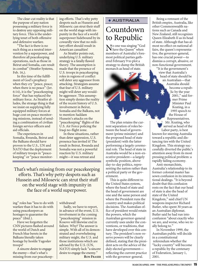The clear-cut reality is that the purpose of any nation possessing a military force is to destroy any opposing military force. This is the underlying tenet of both offensive and defensive warfare.

"The fact is there is no such thing as a neutral intervention by a superpower, and therefore all peacekeeping operations, such as those in Beirut and Somalia, can result in combat" (Stratfor Systems, Feb. 16,).

In this time of the fulfillment of God's prophecy when they cry "peace, peace; when there is no peace" (Jer. 6:14), it is the "peacekeeping force" that has replaced the military force. As Stratfor alludes, the strange thing is that we insist on supplying fully equipped military forces at huge cost on peace monitoring missions, instead of sending a combination of civilian foreign service officers and aid officials.

The experiences in Somalia, Rwanda, Beirut and the Balkans should have proven to the U.S., UN and NATO that the deployment of military troops in "peacekeeping" or "peace monitoring efforts. That's why petty despots such as Hussein and Milosevic can strut their stuff on the world stage with impunity in the face of a world superpower hidebound by its cowardly view that no military effort should result in American casualties!

As Stratfor points out, underlying U.S. military strategy is a fatally flawed theory. The assumption is made that the presence of U.S. troops in peacekeeping roles in regions of conflict will deter any aggressor from attacking. Strategists assume that fear of U.S. military might will deter any wouldbe aggressor. This assumption simply denies the reality of the recent history of U.S. involvement in Beirut, Somalia and the Balkans, not to mention Saddam Hussein's attacks on the "peacekeeping" flights of the U.S. Air Force policing the Iraqi no-flight zone.

In these situations, rather than deter aggression, U.S. presence has invited it! The result in Beirut, Rwanda and Somalia was not a powerful reaction by U.S. military might—it was retreat and

That's what's missing from our peacekeeping efforts. That's why petty despots such as Hussein and Milosevic can strut their stuff on the world stage with impunity in the face of a world superpower.

ing" roles has "less to do with warfare than it has to do with using peacekeepers as hostages to guarantee the peace" (ibid.).

Have we forgotten the CNN pictures flashed around the world of Dutch and French blue berets in the Balkans literally taken hostage by hostile Yugoslav troops?

A sincere desire to engage the enemy—that's what's missing from our peacekeep-

#### withdrawal!

Sadly, we have to report, in advance of the event, U.S. involvement in the coming "peacekeeping" mission in Kosovo will likewise end in failure. Why? The answer is simple. With all of its demonstrated and overwhelming military might, the U.S. and those institutions which are advised by the U.S. (UN, NATO) simply lack "a sincere desire to engage the enemy." **RON FRASER**

# Countdown to Republic ◆ AUSTRALIA

No one was singing "God Save the Queen" when members of Australia's foremost political parties gathered February 9 to plot a strategy to dump the British monarch as head of state.

The plan retains the current separation of roles between the head of government (prime minister) and the proposed head of state (president) with the latter performing a largely ceremonial role. The head of state in Australia would be a non-executive president—a largely symbolic position, above day-to-day politics, representing the nation rather than a political party or the government.

This is quite different to the United States system, where the head of state and the head of government are one and the same person and where the President runs the country and makes political decisions. The Australian office of president would retain the powers, which the Australian governor-general currently uses under the conventions, or traditions, that have developed over this century. The president's non-reserve powers will be clearly defined, stating that the president acts on the advice of the duly elected government reflecting the current practice with the governor-general.

Being a remnant of the British empire, Australia, like other Commonwealth nations such as Canada and New Zealand, still recognizes Queen Elizabeth II as its head of state. Although that has almost no effect on national affairs, the queen's representative, the governor-general, has one crucial power—to dismiss a corrupt, abusive, or non-functional government.

"It is the government's view that Australia's head of state should be an Australian—that Australia should become a republic by the year 2001," said former Prime Minister Paul Keating, in a 1995 speech to the House of Representatives. Mr. Keating, who served as head of the Labor party, is best known for steering Australia toward a republic and distancing ties with the United Kingdom. This strategy successfully diverted the public's attention away from its most pressing political problem: a rapidly failing economy.

Anti-monarchists, Australia's relationship to its former colonial master has sown confusion in its international dealings. "It is beyond doubt that this confusion rests on the fact that our head of state is also the head of state of the United Kingdom," said chief UN weapons inspector Richard Butler, who spent 30 years as an Australian diplomat. Butler said he had run into confusion "about exactly who we are, and worse, who we really belong to."

In November 1999, the Australian public will decide in a constitutional referendum whether the "lucky country" will become a republic by the centenary of Federation, January 1, 2001.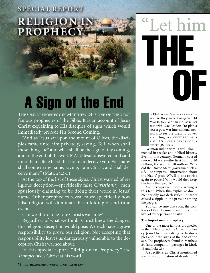# **SPECIAL REPORT RELIGION PROPHEC**

# A Sign of the End

THE OLIVET PROPHECY IN MATTHEW 24 IS ONE OF THE MOST famous prophecies of the Bible. It is an account of Jesus Christ explaining to His disciples of signs which would immediately precede His Second Coming.

"And as Jesus sat upon the mount of Olives, the disciples came unto him privately, saying, Tell, when shall these things be? and what shall be the sign of thy coming, and of the end of the world? And Jesus answered and said unto them, Take heed that no man deceive you. For many shall come in my name, saying, I am Christ; and shall deceive many" (Matt. 24:3-5).

At the top of the list of these signs, Christ warned of religious deception—specifically false *Christianity*: men spuriously claiming to be doing their work in Jesus' name. Other prophecies reveal more specifically how false religion will dominate the unfolding of end-time events.

Can we afford to ignore Christ's warning?

Regardless of what we think, Christ knew the dangers this religious deception would pose. We each have a grave responsibility to prove our religion. Not accepting that responsibility leaves us dangerously vulnerable to the deception Christ warned about.

In this special report, "Religion in Prophecy," th*e Trumpet* takes Christ at his word.

"Let him OF THE

I<br>I<br>I<br>I<br>I<br>I<br>I<br>I N 1944, WHEN GERMANY BEGAN TO realize they were losing World War II, top German industrialists met with Nazi leaders "to plan a secret post-war international network to restore them to power according to a NEWLY DECLASSI-FIED U.S. INTELLIGENCE DOCU-MENT" (Reuters).

German militarism is well-documented in secular and biblical history. Even in this century, Germany caused two world wars—the first killing 10 million, the second, 50 million. Why did the United States government classify—or suppress—information about the Nazis' post-WWII plans to rise again to power? Why would they keep this from their people?

And perhaps even more alarming is this fact: When this explosive document finally was declassified, it hardly caused a ripple in the press or among the people.

You can be sure that soon, the contents of that document will impact the lives of every person on earth.

#### **The Importance of Prophecy**

One of the most famous prophecies in the Bible is called the Olivet prophecy. Jesus Christ was talking to His disciples about the signs of the end of the age. The prophecy is found in Matthew 24 (and companion passages in Mark 13 and Luke 21).

A specific sign Christ mentioned was "the abomination of desolation."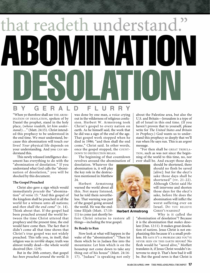# that readeth understand. DESOLATION ABOMINATION

## **BY GERALD FLURRY**

"When ye therefore shall see THE ABOM-INATION OF DESOLATION, spoken of by Daniel the prophet, stand in the holy place, (*whoso readeth, let him understand:*)…" (Matt. 24:15). Christ intended this prophecy to be understood in the end time. We *must* understand, because this abomination will touch *our* lives! *Your* physical life depends on your understanding. And you CAN understand this.

This newly released intelligence document has everything to do with the "abomination of desolation." If you understand what God calls the "abomination of desolation," you will be shocked by this document.

#### **The Gospel Preached**

Christ also gave a sign which would immediately *precede* the "abomination" of verse 15: "And this gospel of the kingdom shall be preached in all the world for a witness unto all nations; and *then shall the end come*" (v. 14). Think about that. If the gospel had been preached around the world between the time Christ uttered that prophecy and the present time, the end would have come then. The fact that it didn't come all that time shows that Christ's true gospel was not widely preached. This tells you, in itself, that religion was in *terrible* shape; truth was almost totally dead—the whole world deceived (Rev. 12:9).

But in the 20th century, that gospel *has been preached around the world.* It was done by one man, a voice crying out in the wilderness of religious confusion. Herbert W. Armstrong took Christ's gospel to every nation on earth. As he himself said, the work that he did was a sign of the end of the age. That gospel work stopped when he died in 1986; "and then shall the end come," Christ said. In other words, once the gospel stopped, the COUNT-DOWN TO DESTRUCTION BEGAN.

The beginning of that countdown revolves around the abomination of

desolation. Whatever the abomination is, it will play the key role in the destruction mentioned in Matthew  $24.$ 

Herbert Armstrong warned the world about all this. Not many listened, but he told them nevertheless. That warning was part of the gospel going around the world. He was the endtime Elijah (Matt. 17:10- 11) to come just shortly be-

fore Christ returns to restore all things—including the true gospel.

#### **Be Ready to Run**

Now look at what will happen in the wake of the "abomination": "Then let them which be in Judaea flee into the mountains: Let him which is on the housetop not come down to take any thing out of his house" (Matt. 24:16- 17). "Judaea" is speaking not only about the Palestine area, but also the U.S. and Britain—Jerusalem is a type of all of Israel in this end time. (If you haven't proven that to yourself, please write for *The United States and Britain in Prophecy.*) God wants us to understand this prophecy so deeply that we'll run when He says run. This is an *urgent* message.

"For then shall be GREAT TRIBULA-TION, such as was not since the beginning of the world to this time, no, nor ever shall be. And except those days

should be shortened, there should no flesh be saved [alive]: but for the elect's sake those days shall be shortened" (vv. 21-22). Although Christ said He will intervene and shorten those days for the elect's sake, before He does the abomination will inflict the worst suffering ever on Israel. DO YOU BELIEVE CHRIST'S WARNING?

Why is it called the "abomination of desolation"? Because it is the abomination that *makes* desolate (Dan. 12:11). It makes great desolation of *nations*. Jesus Christ is not emphasizing this because it's a small problem. HE SAYS IT'S A PROBLEM LIKE YOU'VE NEVER SEEN ON THIS EARTH BEFORE! No flesh would be "saved alive," Moffatt translates it, if Jesus Christ wouldn't intervene to stop it. That's how bad it will be. But the good news is that Christ is



**Herbert Armstrong**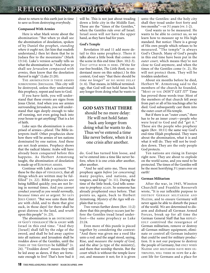# RELIGION IN PROPHECY

about to return to this earth just in time to save us from destroying everybody.

#### **Compassed With Armies**

Here is what Mark wrote about the abomination: "But when ye shall see the abomination of desolation, spoken of by Daniel the prophet, *standing where it ought not*, (let him that readeth understand,) then let them that be in Judaea flee to the mountains" (Mark 13:14). Luke's version actually tells us what the abomination is: "And when ye shall see *Jerusalem compassed with armies,* then know that the desolation thereof is nigh" (Luke 21:20).

THE ABOMINATION IS THESE ARMIES SURROUNDING JERUSALEM. This city will be destroyed, unless they understand this prophecy, repent and turn to God.

If you have faith, you will understand that these events are signs from Jesus Christ. And when you see armies surrounding Jerusalem, you will understand that sign deeply enough to take off running, not even going back into your house to get anything! That is a lot of faith.

Luke says the abomination is comprised of armies—*plural*. The Bible interprets itself: Other prophecies show how there will be armies of ten nations dominated by one nation. And these are not Arab armies. Prophecy shows that the radical Islamic Arabs will have already been conquered before this happens. As Herbert Armstrong taught, the abomination of desolation is made up of EUROPEAN ARMIES.

Continue with Luke's account: "For these be the days of VENGEANCE, that all things which are written may be fulfilled" (v. 22). Bible prophecies are being fulfilled quickly; you are not living in normal times. And *you cannot conduct yourself as you would normally, because times are so urgent.* SO SAYS JESUS CHRIST. "But woe unto them that are with child, and to them that give suck, in those days! for there shall be great distress in the land, and *wrath* upon this people" (v. 23).

The abomination is an INSTRUMENT OF GOD'S VENGEANCE! He is ANGRY with Israel in this end time. "And they [Israel] shall fall by the edge of the sword, and shall be led away captive into all nations: and Jerusalem shall be *trodden down* of the Gentiles, until the TIMES OF THE GENTILES be fulfilled" (v. 24). "Trodden down" means they will be led away as slaves, if they are fortunate enough to live! That's how bad it

will be. This is not just about treading down a little city in the Middle East. These are the "times of the Gentiles," when the Gentiles rule over *all* Israel. Israel soon will *not* have the upper hand, as they have had for years.

#### **God's Temple**

Revelation 10 and 11 add more detail to this same prophecy. There it talks about a little book that comes on the scene in this end time (Rev. 10:2-3). THAT LITTLE BOOK IS HERE. (Write for our free booklet, *The Little Book,* to understand more on this subject.) In this context, God says "that there should be *time no longer*" or NO MORE DELAY (v. 6). That means, in biblical terminology, that God will not hold Satan back any longer from doing what he wants to

**GOD SAYS THAT THERE** should be no more delay: He will not hold Satan back any longer from doing what he wants to do. Thus we've entered a time like never before, when it is one crisis after another.

do. God has turned him loose, and we've entered into a time like never before, when it is one crisis after another, after another.

"And he said unto me, Thou must prophesy again *before* [or *concerning*] many peoples, and nations, and tongues, and kings" (v. 11). During the time of the little book, God tells someone to *prophesy* AGAIN. So someone has already prophesied once before. That points us, again, back to Herbert Armstrong. *Mystery of the Ages* will explain that to you.

Two verses further down (Rev. 11:2) show that this prophecy occurs just before the Gentiles tread Israel underfoot—the same prophecy as Luke 21:24.

Even more of this puzzle is pieced together by considering the context: "And there was given me a reed like unto a rod: and the angel stood, saying, Rise, and *measure the temple of God,* and the altar [a type of the ministry], and them that worship therein. But the court which is without the temple *leave out*, and measure it not; for it is given

unto the Gentiles: and the holy city shall they tread under foot forty and two months"—or  $3^{1}/_{2}$ years (vv. 1-2).

God wants us to be measured. He wants to be able to correct us, so we learn how to measure up to His high standard. But notice: There is a group of His own people which refuses to be measured. "The temple" is always God's Church. Many of God's people in this end time have been put in the *outer court,* which means they're not close to God anymore, and when the times of the Gentiles come (v. 2), He will not protect them. They will be trodden underfoot.

About six months before he died, Herbert W. Armstrong said to the members of the church he founded, "MOST OF YOU *DON'T GET IT!*" Time has proved those words true: Most of the members of that church fell away from part or all of his teachings after he died. God subsequently cast them into the outer court of His temple.

But if there is an "outer court," there has to be an inner court—people who were loyal to God and did "get it." These are the people who prophesy again (Rev. 10:11) the same way God's end-time Elijah prophesied. They warn about the abomination, what it is and what it will do. They will not be trodden down. They are the only people God protects.

Ten nations are rising in Europe right now. They are about to explode on the world scene, and *you* need to be protected. The times of the Gentiles will be the most horrifying 3<sup>1</sup>/<sub>2</sub> years ever on earth!

#### **German Militarism**

After the war, in 1945, Winston Churchill and Franklin Roosevelt wrote, "It is our inflexible purpose to DESTROY GERMAN MILITARISM AND NAZISM, and to ensure Germany will never again be able to disturb the peace of the world. We are determined to disarm and disband all German Armed Forces, break up for all time the German General Staff that has REPEAT-EDLY contrived the resurgence of German militarism, remove or destroy all German military equipment, eliminate or control all German industry that could be used for military production. It is not our purpose to destroy the people of Germany, but ONLY WHEN NAZISM AND MILITARISM HAVE BEEN EX-TIRPATED, WILL THERE BE HOPE for a decent life for Germans and a place for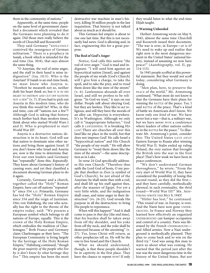them in the community of nations."

Apparently, at the same time, people on the same level of government classified a document which revealed that the Germans were planning to do it again. Did those men really believe the words of Churchill and Roosevelt?

They said Germany "REPEATEDLY contrived the resurgence of German militarism." There is a prophecy in Isaiah, a book which is intended for the end time (Isa. 30:8), that says almost the same thing.

"O Assyrian, the rod of mine anger, and the staff in their hand is mine indignation" (Isa. 10:5). Who is the Assyrian? If Isaiah is an end-time book, we must know who Assyria is. "Howbeit he meaneth not so, neither doth his heart think so; but IT IS IN HIS HEART TO DESTROY AND CUT OFF NATIONS NOT A FEW" (v. 7). If you had to pick out Assyria in this modern time, who do you think this would be? Who, in this end time, cuts off "nations not a few"? Although God is taking that history much further back than modern times, think about who started World Wars I and II. Who is prophesied to start World War III?

Assyria is a *destructive* nation; destruction is in its heart. God will use that nation to dominate nine other nations and bring them against Israel. If you don't know who Israel and Assyria are, now is the time to determine that. Even our own leaders said Germany has "repeatedly" done this. *Repeatedly.* They knew about Germany's history of causing wars, and yet they classified a document showing German plans to do it again.

Certainly, Germany and a church, together called the "Holy" Roman Empire, have cut off nations "repeatedly" since 554 A.D. Primarily, Germany has led the "Holy" Roman Empire since 554 and the reign of Justinian. Otto von Habsburg, the one who actually has the right to the throne of the empire today, said: "We possess a European symbol which belongs to all nations of Europe, equally. This is the crown of the Holy Roman Empire, which embodies the tradition of Charlemagne." Both France and Germany claim Charlemagne as their hero. "The European Community is living largely by the heritage of the Holy Roman Empire," Habsburg continued, "*though the great majority of the people who live by it don't know by what heritage they live.*" This empire has been the most

destructive war machine in man's history, killing 50 million people in the last inquisition. That history is not talked about as much as it should be.

This German-led empire is about to rise one last time. But this is not necessarily bad news. God is allowing and, in fact, engineering this for a great purpose.

#### **The Rod of God's Anger**

Notice, God calls this nation "the rod of MINE anger." God is mad and indignant. "I will send him against an hypocritical nation [Israel], and against the people of my wrath [God's Church] will I give him a charge, to take the spoil, and to take the prey, and to *tread* them down like the mire of the streets" (v. 6). Lawlessness abounds all over Israel, and still we profess to be religious. "In God we trust," it says on our dollar. People *talk* about obeying God, but they are lawless. They like to act religious, and still they have the morals of an alley cat. Hypocrisy is everywhere. It's in Washington. Although we only call it "inappropriate behavior," God calls it LAWLESSNESS. It is breaking HIS LAW! There are churches all over this land like no place in the world, but that does not impress God! He calls Israel a "hypocritical nation" and His Church "the people of my wrath." He will allow Germany to "tread them down like the mire of the streets"—the same description as in Luke.

In verse 24 God specifically addresses His own Church: "Therefore thus saith the Lord God of hosts, O my people that dwellest in *Zion* [a symbol of God's Church]*,* be not afraid of the Assyrian: he shall smite thee with a rod, and shall lift up his staff against thee, after the manner of Egypt. For yet a very little while, and the indignation shall cease, and mine anger in their destruction" (vv. 24-25). God reveals His purpose in all the destruction: to bring His people to repentance.

When will this happen? "And it shall come to pass *in that day* [the end time], that his burden shall be taken away from off thy shoulder, and his yoke from off thy neck, and the yoke shall be destroyed because of the anointing" (v. 27). Yes, Jesus Christ will return, as other prophecies tell us. He will be the one to free Israel and His Church.

What we should understand, though, is that these people shouldn't be in captivity in the first place. They have the chance to repent NOW! If only

they would listen to what the end-time Elijah taught.

#### **A Warning Unheeded**

Herbert Armstrong wrote on May 9, 1945, almost the same time Churchill and Roosevelt issued their document, "The war is over, in Europe—*or is it?* We need to wake up and realize that right now is the most dangerous moment in the United States' national history, instead of assuming we now have peace!" (*Autobiography,* vol. II, pp. 114-115).

In 1945 people scoffed at this powerful statement. But they would not scoff today, considering what Germany is doing.

"Men plan, here, to preserve the PEACE of the world," Mr. Armstrong continued. "What most do not know is that the Germans have their plans for winning the BATTLE of the peace. Yes, I said BATTLE of the peace. That's a kind of battle we Americans don't know. We know only *one kind* of war. We have never lost a war—that is, a military war, but we have never WON a conference where leaders of other nations outfox us in the BATTLE for the peace." To illustrate Mr. Armstrong's point, consider this: The United States GAVE AWAY Eastern Europe to Russia after winning World War II. Stalin ended up ruling Poland, the very nation that brought the British into the war in the first place! That's how weak we have been in peace conferences.

"We don't understand German *thoroughness*," he wrote. "From the very start of World War II, they have considered the possibility of losing this second round, as they did the first and they have carefully, methodically *planned*, in such eventuality, the *third* round—World War III!" MR. ARM-STRONG WROTE THIS MAY 9, 1945!

"Hitler has lost," he continued. "This round of war, in Europe, is over. And the Nazis have now gone UNDER-GROUND. In France and Norway they learned how effectively an organized UNDERGROUND can hamper occupation and control of a country. Paris was liberated by the French UNDERGROUND and Allied armies. Now a Nazi underground is methodically planned. They plan to come back and to win on the third try." God was using this man to warn us about what was coming. He warned that the period just after the war was the most dangerous time in the history of the United States. But not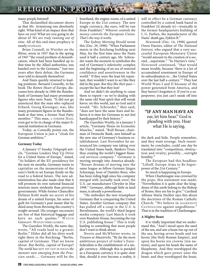# RELIGION IN PROPHECY

#### many people listened!

That declassified document shows us that Mr. Armstrong was absolutely right. What kind of an impact does that have on you? What are you going to do about it? *We are truly running out of time.* All of this end-time prophecy is nearly FULFILLED.

Brian Connell, in *Watcher on the Rhine*, wrote in 1957 that in the spring of 1947 "the vexed problem of denazification, which had been handled up to that time by the Allied authorities, was handed over to the Germans." Just two years after their defeat, the Germans were told to denazify themselves!

And Nazis quickly returned to leading positions. Bernard Connolly, in his book *The Rotten Heart of Europe,* discusses how already in 1966 the Bundesbank of Germany had many prominent figures who were Nazis. "It did not go unnoticed that the man who replaced Erhard, Georg Kiesinger, was, like many prominent figures in the Bundesbank at that time, a former Nazi Party member." This man, A FORMER NAZI, even got to be in charge of the major financial institution in Germany.

Today, as Connolly points out, the European Union is just a "cloak for German ambition."

#### **Germany Today**

A January 17 *Sunday Telegraph* article, "German Leaders Step Up Drive for a United States of Europe," stated, "As holders of the EU presidency for the next six months, Germany wants to capitalize on the momentum of the euro's birth to set Europe firmly on the road to a federal future. The new administration has also made clear that it will promote its own national financial interests more stridently than previous governments. While former Chancellor Helmut Kohl made no secret of his dream of a united Europe, his sense of guilt for Germany's past meant that he shied away from throwing the country's weight around. His younger successors are free of that historical baggage and have no such qualms." WATCH GERMANY. WATCH THEM CLOSELY.

The *Guardian Weekly,* the same day, wrote, "All roads lead to a greater Berlin." Hitler did all his dirty work right there in the Reichstag. "Berlin, capital of Germany. That we know about. But Berlin, capital of Europe? *The world has* NOT YET GOT IN FOCUS *the monster now emerging from the Prussian sands….* Germany will be the

heartland, the engine-room, of a united Europe in the 21st century. The new single currency, the euro, will be run from Frankfurt." *Whoever controls the money controls the European Union. That's the way it works.*

The *Sydney Morning Herald* wrote this (Dec. 29, 1998): "When Parliament meets in the Reichstag building next May, for the first time since the Nazis used it half a century ago, Mr. Schroeder wants the moment to symbolize the end of Germany's inferiority complex and the beginning of an era of restored confidence and assertiveness in the world." If they were the least bit repentant, they wouldn't want to act like they did in the past. *But they like their past* except the fact that they lost!

And we didn't do anything to cause them to repent—so we're dealing with the same old Nazi spirit that will wreak havoc on this world, just as God said it would. "Mr. Schroeder," they said, "does not have the same fears and believes it is time for Germans to not feel handicapped by their history."

*The Guardian Weekly*, in a January 3 article, "Germany Flexes its Economic Muscles," stated, "Rolf Breuer, chairman of Deutsche Bank, sees himself as the new star of Germany's business establishment: Last November he announced his company was taking over the United States bank, Bankers Trust, thus creating the world's biggest financial services company." Germany is moving strongly into America already. "Breuer dreams of moving into the same league as fellow German Jürgen Schrempp, boss of Daimler-Benz, who has been riding high since his company merged with [actually took over] the U.S. car manufacturer Chrysler in May 1998." Germany, although little in land mass, is already a powerhouse.

"He embodies the new triumphant Germany that is conquering the United States. Another German company that has pulled off a coup in the U.S. is Bertelsmann, the world's third-largest media company: Last March it took over Random House, becoming the top U.S. publishing house." This is truly leading to something that most people don't want to think about.

Norris and McWhirter wrote, in *Treason at Maastricht*, "By far the most ambitious project of today's Eurofederalists is the establishment of a single currency. Although this is paraded as a European currency it is quite clear that, should it ever become a reality, it

will in effect be a German currency controlled by a central bank based in Frankfurt [it already is]—ironically in the former headquarters building of I. G. Farben, the manufacturer of the Nazis' death gas, Zyklon B."

*Newsweek* (Dec. 14, 1998) quoted Owen Harries, editor of *The National Interest,* who argued that a very successful European Monetary Union "would amount to the creation of a second…superstate." "In Harries's view," *Newsweek* continued, "that would mean trouble, because 'there is a lot of accumulated resentment in Europe of its subordination to…the United States over the last half a century.'" They lost World Wars I and II because of the power generated from America, and they haven't forgotten it. If you're a superpower, you just can't sneak off into

#### **"IF ANY MAN HAVE AN**  ear, let him hear." God is pleading with you. Hear what He is saying.

the dark and hide. People remember, and they want revenge. Such resentment, he concludes, could one day be translated into "competition, obstruction and rivalry; possibly…outright hostility."

*The European* had this headline: "Liftoff. Europe Aims to Be Superpower of the 21st Century."

So much is happening in Europe.

When Charlemagne was crowned by the pope, this statement was made: "Nevertheless it is quite clear the kingdoms of this earth belong to the Bishop of Rome; they are his to give." Cardinal Alfonse Maria Stickler says this about the doctrines of the Roman Catholic Church: "We believe in AGGRESSIVE CATHOLICISM against ungodliness." That is in the tradition of Charlemagne.

#### **A Mighty Beast**

It is vitally important that we understand this. "And I stood upon the sand of the sea, and saw a beast rise up out of the sea, having seven heads and ten horns [the Holy Roman Empire], and upon his horns *ten* crowns [ten nations], and upon his heads the name of blasphemy. And they worshipped the dragon which gave power unto the beast: and they worshipped the beast,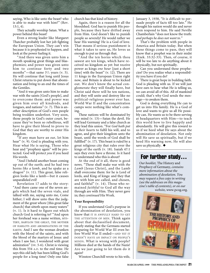saying, Who is like unto the beast? who is able to make war with him?" (Rev. 13:1, 4).

They actually worship Satan. What a power behind this beast!

Even a strong leader like Margaret Thatcher probably lost her job fighting the European Union. They can't win because it is prophesied to happen, and look at the power fueling it.

"And there was given unto him a mouth speaking great things and blasphemies; and power was given unto him to continue forty and two months"—that same  $3^{1}/_{2}$  years (v. 5). He will continue that long until Jesus Christ returns to put down that abomination and bring to an end the times of the Gentiles.

"And it was given unto him to make war with the saints [God's people], and to overcome them: and power was given him over all kindreds, and tongues, and nations" (v. 7). This is another description of God's own people being trodden underfoot. Very soon, those people in God's outer court, because they've been so rebellious, will have to give their blood to prove to God that they are worthy to enter His kingdom.

"If any man have an ear, let him hear" (v. 9). God is pleading with you. Hear what He is saying. Those who hear and "prophesy again" will be protected. God will protect *you* if you heed His words.

"And I beheld another beast coming up out of the earth; and he had two horns *like a lamb*, and he spake as a dragon" (v. 11). This great, false religion looks like a lamb—but it causes unparalleled evil!

Revelation 17 adds to the story: "And there came one of the seven angels which had the seven vials, and talked with me, saying unto me, Come hither; I will show unto thee the judgment of the great whore [this great false church] that sitteth upon many waters" (v. 1). Is it hard to figure out which church God is referring to? "And upon her forehead was a name written, MYS-TERY, BABYLON THE GREAT, THE MOTHER OF HARLOTS AND ABOMINATIONS OF THE EARTH. And I saw the woman drunken with the blood of the saints, and with the blood of the martyrs of Jesus: and when I saw her, I wondered with great admiration" (vv. 5-6). Christ is viewing this from 554 A.D. to the end time. He says this old lady has been killing God's people for a long time! Only one false

church has that kind of history.

Again, there is a reason for all the bloodshed. God has to punish His people, because they have drifted away from Him. God doesn't like to punish people so severely! He would rather we hear His warning! He is a God of love. That means if serious punishment is what it takes to save us, He loves us enough to put us through that.

"And the ten horns which thou sawest are ten kings, which have received no kingdom as yet: but receive power as kings *one hour* [just a short time] with the beast" (v. 12). There are 11 kings in the European Union right now, and Britain is about to be kicked out. We don't know the actual conglomerate they will finally have, but Christ said there will be ten nations, and they will unite and destroy like no political-religious power ever has. World War II and the concentration camps were nothing like what's coming.

These nations will be dominated by one mind (v. 13)—Satan the devil. He will lead Germany and a false church as they lead this union. "For *God hath put in their hearts* to fulfil his will, and to agree, and give their kingdom unto the beast, until the words of God shall be fulfilled" (v. 17). This beast is ruled by a great religious city that rules over the kings of the earth (v. 18). Isaiah 47:1 says they even have a throne. Is it hard to understand who this is about?

At the end of it all, there is good news. "These shall make war with *the Lamb* [Jesus Christ], and the Lamb shall overcome them: for he is Lord of lords, and King of kings: and they that are with him are called, and chosen, and faithful" (v. 14). Those who remained *faithful* to God all the way through are with Him. They never gave in; they *continued* His Work.

#### **Your Responsibility**

If you understand God's purpose in the abomination of desolation, you know that IT IS AWFULLY HARD TO GET THE ATTENTION OF MEN. Think again about that declassified document, clearly stating that the Germans started preparing for World War III even before World War II ended—AND YET IT DOESN'T HAVE AN IMPACT ON PEOPLE'S MINDS. What is wrong with people? Millions died at the hands of the Nazis! Are we just going to let them do it again?

Winston Churchill wrote to his wife,

January 3, 1938, "It is difficult to persuade people of facts till too late." He thought his nation would die and never even respond to him. He said Neville Chamberlain "does not know the truth: *and perhaps he does not want to."* 

That's the problem with people in America and Britain today. But when these things come to pass, they will know that a prophet was in their midst (Ezek. 33:32-33). Then, of course, it will be too late to do anything about it physically, but not spiritually.

Can you understand these prophecies? Do you realize what a responsibility you have if you do?

There is great hope in building faith. God is pleading with us. If we will just have ears to hear what He is telling us, we can avoid all of this. All of mankind could; that's why God sends the message—to awaken them.

God is doing everything He can to get us into His family. He is a God of love and wants to give us all He possibly can. He wants us to be there serving at headquarters with Him—to teach this world how to live happily and abundantly. He will give this reward to us if we heed what He says about the abomination of desolation. Not only will He save us spiritually, but if we heed His warning now, He will also save us physically.  $\blacklozenge$ 

### For further study…

*Our booklet,* The History and Prophecy of Germany, *contains more information about the abomination of desolation. You may request a free copy in writing (see the addresses on this magazine's table of contents), or on our*

*website,* www.pcog.org.

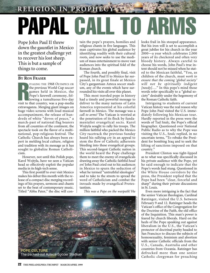**RELIGION IN PROPHEC** 

# PAPAL CALL TO ARM

Pope John Paul II threw down the gauntlet in Mexico in the greatest challenge yet to recover his lost sheep. This is but a sample of things to come.

#### **BY RON FRASER**

FRECH PRINCING<br>
IVALING THE 1968 OLYMPICS OR<br>
the previous World Cup soccer<br>
games held in Mexico, the<br>
Pope's farewell ceremony, fol-<br>
lowing a tumultuous five-day<br>
visit to that country, was a pop-media IVALING THE 1968 OLYMPICS OR the previous World Cup soccer games held in Mexico, the Pope's farewell ceremony, following a tumultuous five-day extravaganza. Merging giant images on huge video screens with loud musical accompaniment, the release of hundreds of white "doves of peace," a march-past of national flag bearers from all countries of the continent, the spectacle took on the flavor of a multinational, pop-religious festival. The Catholic Church has always been expert in melding local culture, religion and tradition with its message as it has sought to globalize Roman Catholicism.

However, not until this Polish pope, Karol Wojtyla, have we seen a Vatican head so effectively exploit the popular media in its high-tech sense.

This first pontiff to ever visit Mexico makes his debut this month with the release of a compact disc merging recordings of his prayers, sermons and chants set to the beat of contemporary music. Titled "Abba Pater," the disc will contain the pope's prayers, homilies and religious chants in five languages. This man captivates his global audience by identifying readily with their cultural roots, and now seeks to use the medium of mass entertainment to move vast audiences into the spiritual fold of the Roman church.

The fourth, and possibly final, visit of Pope John Paul II to Mexico far surpassed, in its great finale at Mexico City's gargantuan Azteca soccer stadium, any of the events which have surrounded his visits all over this planet.

This most traveled pope in history had a timely and powerful message to deliver to the many nations of Latin America represented at his colorful farewell in Mexico. The message was a *call to arms!* The Vatican is worried at the penetration of its flock by fundamentalist evangelical sects. Karol Wojtyla sought to rally his troops. The million faithful who packed the Mexico City racetrack the previous Sunday heard his rallying cry in an appeal to stem the flow of Catholic adherents bleeding into these evangelical groups. This second-largest Catholic nation in the world heard the Pope challenge them to meet the enemy of evangelicals drawing away the Catholic faithful *head on!* John Paul cried out to his audiences in Mexico to spurn the seduction of what he termed "untruthful ideologies" and to take to the streets to spread the word of Catholicism and combat the inroads made by evangelical Protestantism.

*This was a Pope on the warpath!* He



looks frail in his stooped appearance. But his iron will is set to accomplish a great jubilee for his church in the year 2000—a year which celebrates 2,000 years of its checkered and often very bloody history. Always careful to choose his words, John Paul's true intent should not be missed when he stated to the Mexican faithful, "You, as children of the church, must *work to ensure that the coming 'global society' will not be spiritually indigent [needy]….*" In this pope's mind those words refer specifically to a "global society" desirably under the hegemony of the Roman Catholic faith.

Intriguing to students of current Vatican history was the real reason why Pope John Paul visited the U.S. immediately following his Mexican tour. Hardly reported in the press were the words of Tad Szulc, the Pope's official biographer. Questioned over National Public Radio as to why the Pope was visiting the U.S., Szulc replied, in no uncertain terms, "To rebuke the President for bombing Iraq and to seek the lifting of sanctions imposed on that country."

President Clinton was tight-lipped as to what was specifically discussed in his private audience with the Pope, yet he said enough to indicate that the Pope's words had stung. Questioned in the White House corridors by the press, the President replied that the Pope had been "clear, forceful and sharp" during their private discussions in St. Louis.

Even more intriguing is the fact that the senior Vatican theologian, Cardinal Ratzinger, visited the U.S. between February 9 and 12. Ratzinger heads the Vatican's office of the Congregation for the Doctrine of the Faith, the old office of the Inquisition. This man's power is feared by church liberals. Hard on the heels of the Pope speaking out against liberalism in the U.S., the Vatican's protector of doctrinal purity headed to San Francisco to discuss the subjects of homosexuality, feminism and abortion with senior Catholic officials from the U.S., Canada, Australia and other countries from Oceania. Ratzinger has defrocked more than one senior Catholic clergyman for preaching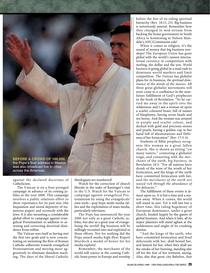

against the declared doctrines of Catholicism.

The Vatican is on a four-pronged campaign in advance of its coming jubilee in the year 2000. This campaign involves a public relations effort to show repentance for its past sins (the Inquisition and moral depravity of numerous popes) and reconcile with the Jews. It is also mounting a considerable global effort to campaign against evangelical Protestantism in addition to arresting and correcting doctrinal dissidence from within.

The Vatican sees itself as having met the first two goals and is now concentrating on stemming the flow of Roman Catholic adherents towards evangelical Protestantism and moving more aggressively to eliminate dissident teaching. The days of the liberal Catholic theologians are numbered!

Watch for the correction of church liberals in the wake of Ratzinger's visit to the U.S. Watch for the Vatican to campaign against evangelical Protestantism by using the evangelicals' own tools—pop-hype multi-media rallies and the exploitation of mass media, particularly television.

The Pope has announced the year 2000 not only as a great Catholic jubilee, but also as a great year of evangelizing the world! Big business will be willingly recruited into and exploited in those efforts. Not for nothing did the Pope award media high-flyer Rupert Murdoch a medal of honor for his media exploits!

Remember, the merchants of the world will rejoice at the coming Catholic beast power in Europe and worship

before the feet of its ruling spiritual hierarchy (Rev. 18:15, 23). Big business is notoriously amoral. Remember how they changed in mid-stream from backing the home government in South Africa to kowtowing to Nelson Mandela's ANC/Communist rule!

AP/WIDEWORLD

When it comes to religion, it's the sound of money that big business worships! The *European Union* has gone *global* with the world's newest international currency in competition with sterling, the dollar and the yen. *World business* is going *global* in a mad rush to dominate world markets and limit competition. *The Vatican* has *globalist* plans for *its* business, *the spiritual dominance of the minds of the masses.* All three great globalist movements will soon come to a confluence in the nearfuture fulfillment of God's prophecies in the book of Revelation. "So he carried me away in the spirit into the wilderness: and I saw a woman sit upon a scarlet coloured beast, full of names of blasphemy, having seven heads and ten horns. And the woman was arrayed in purple and scarlet colour, and decked with gold and precious stones and pearls, having a golden cup in her hand full of abominations and filthiness of her fornication" (Rev. 17:3-4).

Students of Bible prophecy recognize this woman as a great fallen church. She is shown as sitting "on many waters," connoting a globalist reign, and consorting with the *merchants* of the earth, *big business,* in Revelation 18:3: "For all nations have drunk of the wine of the wrath of her fornication, and the kings of the earth have committed fornication with her, and *the merchants of the earth are waxed rich through the abundance of her delicacies.*"

The fulfillment of these events is almost upon us. It is but a time and a season away. When it comes, the world will stand in awe. Yet it will last but a short time, this ruling hegemony of European dominance, under a great church, funded largely by the giants of global business. And when it fails, all its major planners will stand aghast at the suddenness and might of its crushing demise.

"And the kings of the earth, who have committed fornication and lived deliciously with her, shall bewail her, and lament for her, when they shall see the smoke of her burning, standing afar off for the fear of her torment, saying, Alas, alas that great city Babylon, that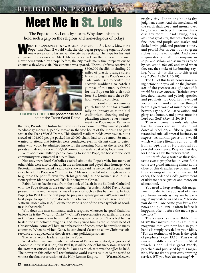**RELIGION IN PROPHECY** 

# Meet Me in St. Louis

The Pope took St. Louis by storm. Why does this man hold such a grip on the religious and non-religious of today?

HEN THE ANNOUNCEMENT WAS MADE LAST YEAR IN ST. LOUIS, MO., THAT Pope John Paul II would visit, the city began preparing eagerly. About one week prior to his arrival, the city was ecstatic. The hype for his visit surpassed the fervor over Mark McGwire's attack on the home-run record. Never being visited by a pope before, the city made many final preparations to ensure a flawless visit. No expense was spared. Thoroughfares received a



**CROWDS CHEER** the popemobile as it enters the Trans World Dome.

\$500,000 facelift, including 20 miles of plastic orange safety fencing along the Pope's motorcade route used to control the crowds mobbing to catch a glimpse of this man. A throne for the Pope on his visit took four St. Louis men three 50 hour weeks to complete.

Thousands of screaming youth turned out for a youth rally on January 26 at the Kiel Auditorium, cheering and applauding almost every statement the Pope made. Earlier in

the day, President Clinton had flown in to welcome the 78-year-old pontiff. Wednesday morning, people awoke in the wee hours of the morning to get a seat at the Trans World Dome. This football stadium holds over 65,000, but a crowd of 104,000 people packed in; 20,000 chairs had to be rented. So many wanted to attend that lotteries were conducted even in distant cities to determine who would be admitted inside for the morning Mass. At the service, 900 priests and deacons served 130,000 communion wafers baked by local nuns.

With about one million people coming to see the Pope, the boost to the local community was estimated at \$25 million.

Not only were local Catholics excited about the Pope's visit, but many of other faiths were also caught up in the enthusiasm and payed their homage. One Protestant minister called a radio talk show and said he welcomed the papal visit since he felt the Pope was "next to God." Masses crowded into the gateway city to glimpse the pontiff, even "touch his garment," as one woman said. A missionary from Idaho observed, "It's like being with Christ."

Rabbi Robert Jacobs read from the book of Isaiah in the St. Louis Cathedral with the Pope sitting in the sanctuary, listening. Jerusalem Rabbi David Rosen praised this, saying he never knew of a service such as this happening. In fact, Pope John Paul II is the first pope to pray in a synagogue *in 1700 years* and the first pope to open diplomatic relations between the state of Israel and the Vatican. Rosen also said, "For me the Pope is one of the great symbols of goodness in the world."

Why does this man command such a response wherever he goes? Catholics believe he is the "Vicar of Christ"—Christ's representative on earth, or the one *in His place*. Some claim he is infallible—incapable of error. Others feel he has healed the rift between religions, and many view him as the spiritual head of Christiandom. Some call him an ambassador of peace, since he travels to many countries. When he visited Cuba, he convinced Castro to allow Christmas observance and appealed for the release many political prisoners.

The fact is, world leaders listen to the Pope.

What other man could unite the nations of Europe in political, religious and economic unity? If it is not John Paul II, it will be one of his successors. It wasn't the *man* that caused such a stir in St. Louis as much as it was the *office* he held. The power in this office will revolutionize world events as it leads the world to witness the final resurrection of the Holy Roman Empire. **WILBUR MALONE**

24 **THE PHILADELPHIA TRUMPET MARCH/APRIL 1999**

mighty city! For in one hour is thy judgment come. And the merchants of the earth shall weep and mourn over her; for no man buyeth their merchandise any more…. And saying, Alas, alas, that great city, that was clothed in fine linen, and purple, and scarlet, and decked with gold, and precious stones, and pearls! For in one hour so great riches is come to nought. And every shipmaster, and all the company in ships, and sailors, and as many as trade by sea, stood afar off, and cried when they saw the smoke of her burning, saying, What city is like unto this great city!" (Rev. 18:9-11, 16-18).

The *fall* of this beast power now rising before our eyes will be the *forerunner* of the *greatest era of peace this world has ever known.* "Rejoice over her, thou heaven, and ye holy apostles and prophets; for God hath avenged you on her…. And after these things I heard a great voice of much people in heaven, saying, Alleluia; salvation, and glory, and honour, and power, unto the Lord our God" (Rev. 18:20; 19:1).

Then will come the only ruler who has the power and authority to put down all rebellion, all false religion, all tyrannical rule, all amoral business, to *impose*, yes IMPOSE, *peace* on a world which will have literally run out of all human options at its disposal for peaceful coexistence. Pray for *that* day, for God *will* have the victory then!

But *watch*, daily; watch as these fantastic events prophesied in your Bible come to a grand smashing climax at the close of this dreadful age of man and the dawning of the true new world order, the order of God's government of ultimate peace, justice and mercy on all mankind.

You need to keep reading this magazine in order to be apprised of these prophesied events as they are happening! Many write to us and ask, "How do you do it? How come you *know* the news and publicize it often before it happens, often before the media gets the story?"

The answer is in your Bible. The SPIRIT that inspires the insight in this magazine that you now hold in your hands is simply revealed in your Bible. "For the testimony of Jesus is the spirit of prophecy" (Rev. 19:10). *That's* what makes the difference. *That's* the *Spirit* which is behind this great Work, preached and published by this magazine. We are simply your early-warning service. *Will you heed the warning?* ◆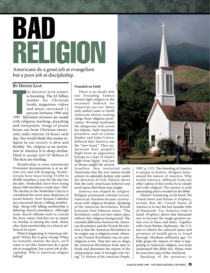# BAD RELIGION Americans do a great job at evangelism

# but a poor job at discipleship.

#### **BY DENNIS LEAP**

BY DENNIS LEAP<br>
HE RELIGIOUS BOOK MARKET<br>
is booming. The \$3 billion<br>
market for Christian<br>
books, magazines, videos<br>
and music increased 12<br>
percent between 1996 and<br>
1997. Television airwaves are awash HE RELIGIOUS BOOK MARKET is booming. The \$3 billion market for Christian books, magazines, videos and music increased 12 percent between 1996 and with religious teaching, preaching and viewpoints. Songs of praise boom out from Christian-musiconly radio stations 24 hours each day. You would think this means religion in our society is alive and healthy. Yet, religion as an institution in America is in sharp decline. Hard to accept isn't it? Believe it! The facts are startling.

Membership in some mainstream Protestant denominations is at an alltime low and still dropping. Presbyterians have been losing 35,000 to 40,000 members a year for the last two decades. Methodists have been losing about 1000 members a week since 1965. The decline in the Methodist Church is considered the worst mass departure in recent history. Even Roman Catholics are concerned about a falling membership. Along with falling membership is faltering church attendance. Although some church officials work to conceal the facts, many churches are as empty on Sunday as during the week. Many who claim membership in a church seldom sit in a pew.

What is happening in American religion? Where has it gone wrong? When we honestly analyze the facts, we'll come to see that Americans do a great job at evangelism, but a poor job at discipleship. Why is American religion failing?

#### **Founded on Faith**

There is no doubt that our Founding Fathers viewed right religion as the necessary bedrock for American success. Many early settlers came to North American shores seeking refuge from religious persecution. Worship motivated the dangerous trek across the Atlantic. Early American preachers, such as Cotton Mather and John Cotton, believed that America was the "new Israel." They understood their people's flight from an oppressive Europe as a type of Israel's flight from Egypt. And just as Moses taught the ancient

Israelites, they instructed early Americans that the new nation would achieve its splendid destiny only under the direction of God. History shows that the early Americans believed and acted upon what these men taught.

America was shaped by religion. Religion permeated colonial society. American freedom became synonymous with religious freedom. Speaking of the American Revolution, British historian Paul Johnson states: "The Revolution could not have taken place without this religious background. The essential difference between the American Revolution and the French Revolution is that the American Revolution in its origins was a religious event, whereas the French Revolution was an antireligious event. That fact was to shape the American Revolution from start to finish and determine the nature of the independent state it brought into being" (*A History of the American People,*



1997, p. 117). The founding of America is unique in history. Religion determined the nature of America. Why would America, different from any other nation of this world, be so closely tied with religion? The answer is truly astounding and is revealed in the Bible.

Herbert Armstrong, in his book *The United States and Britain in Prophecy,* reveals that the United States of America is in fact the lost Israelite tribe of Manasseh. Yes, America truly is Israel. Prophecy shows that Manasseh was to become the single greatest nation ever in these end times. Together with Great Britain (Ephraim), the U.S. was to inherit the national name and promises of wealth given to Israel through Abraham millennia ago. To fully grasp the import of what is happening in American religion, you must understand this Bible fact. Please write for your free copy of this vital book.

Speaking of the promises to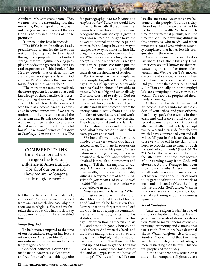## RELIGION IN PROPHECY

Abraham, Mr. Armstrong wrote, "Yet, we must face the astounding fact that our white, English-speaking peoples not the Jews—have inherited the national and physical phases of those promises!

"How could this have happened?

"The Bible is an Israelitish book, preeminently of and for the Israelitish nationality, inspired by their God through their prophets. Is it not indeed strange that we English-speaking peoples are today the greatest believers in and exponents of this book of the Hebrew people; that of all nations we are the chief worshipers of Israel's God and Israel's Messiah—in the name and form, if not in truth and in deed?

"The more these facts are realized, the more apparent it becomes that a full knowledge of these Israelites is necessary to a right understanding of the Holy Bible, which is chiefly concerned with them as a people. And this knowledge becomes important if we are to understand the present status of the American and British peoples in the world—and their relation to unprecedented world conditions at this fateful hour!" (*The United States and Britain in Prophecy*, 1980 version, p. 15). The

**COMPARED TO THE** 

time of our forefathers, religion has lost its influence in American life. For all of our outward show, we are no longer a truly religious people.

fact that the Bible is an Israelitish book, and today's Americans have descended from ancient Israel, discloses why our roots are so religious. Yet, we have forsaken those roots. God has much to say about our religion in these troubled times.

#### **Forgetting God**

To be honest, compared to the time of our forefathers, religion has lost its influence in American life. For all of our outward show, we are no longer a truly religious people.

Consider America's crime rate meditate on America's violent cities analyze America's insatiable appetite for pornography. *Are we looking at a religious society?* Surely we would have to say no. Even with all the apparent religious fervor in this country, we must recognize that our society is growing ever worse. We no longer have the power to control robbery, rape and murder. We no longer have the sway to lead people away from hurtful lusts like drug addiction, alcoholism and illicit sex. Why is our society falling into such decay? Isn't our modern crisis really a crisis in religion? We must put the blame for our modern problems squarely on the shoulders of religion.

For the most part, as a people, we have simply forgotten God. We only pay Him casual lip service. Many only turn to God in times of trouble or tragedy. We talk big and act shallowly. Our ancestors had to rely on God for their very existence. They knew every morsel of food, each day of good weather and all safe protection from the enemy came directly from God. The founders of America were a hard working people grateful for every blessing. Their legacy of hard work and faith laid the foundation for our modern success. And what have we done with their tears, prayers and sweat?

We have allowed ourselves to be blinded by the very wealth God has bestowed on us. Our material possessions have given us incredible power. Yet as a nation we no longer recognize how we obtained such wealth. Most believe we obtained it through our own power and strength. Tell the vast majority of successful Americans that God gave them their wealth, and you would probably witness a heavy measure of scorn. *God? What do you mean God gave me such wealth?* This condition in America was prophesied years ago.

Moses warned the Israelites, "When thou hast eaten and art full, then thou shalt bless the Lord thy God for the good land which he hath given thee. Beware that thou forget not the Lord thy God, in not keeping his commandments, and his judgments, and his statutes, which I command thee this day: Lest when thou hast eaten and art full, and hast built goodly houses, and dwelt therein; And when thy herds and thy flocks multiply, and thy silver and thy gold is multiplied, and all that thou hast is multiplied; Then thine heart be lifted up, and thou forget the Lord thy God, which brought thee forth out of the land of Egypt, from the house of bondage" (Deut. 8:10-14). Like our

Israelite ancestors, Americans have become a vain people. God has richly blessed us. But now we are fat, fed to the full on our wealth. We have much time for our material pursuits, but little time for God. The prevailing attitude in this country is, who needs God when times are so good? One minister recently complained that he has lost his congregation to the weekend.

Americans worship the mighty dollar more than the Almighty God. Americans are well-known for their excesses in sports and other forms of entertainment. We love our TVs, movies, concerts and casinos. Americans love their shiny new cars and lavish homes. Did you know that Americans spend \$10 billion annually on pornography? We are corrupting ourselves with our wealth! This too was prophesied thousands of years ago.

At the end of his life, Moses warned his people, "Gather unto me all the elders of your tribes, and your officers, that I may speak these words in their ears, and call heaven and earth to record against them. For I know that after my death ye will utterly corrupt yourselves, and turn aside from the way which I have commanded you; and evil will befall you in the latter days; because ye will do evil in the sight of the Lord, to provoke him to anger through the work of your hands" (Deut. 31:28- 29). Notice this verse is a prophecy for the latter days—our time now! Because of our turning away from God, evil abounds. As the *Trumpet* has been showing for months, America is about to fall under a severe financial crisis. Yet we take little notice. America looks to its great civilization—the work of our hands—instead of God. By doing this we provoke God's anger. WEALTH WILL NEVER SAVE A SINNING NATION. Our day of reckoning is quickly coming upon us.

#### **Sea of Confusion**

American religion is adrift in a sea of confusion. Inside our high-tech evangelism are the seeds of its own destruction. With so many denominations advertising, promoting and claiming that THEIR truth *IS* truth, we have doctrinal chaos. Watch religious television any Sunday. You will find that the clang and clamor of religious broadcasting is more distracting than helpful. This too was prophesied for our day.

In the Olivet prophecy, Jesus Christ stated that rampant religious deceit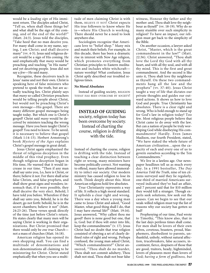would be a *leading sign* of His imminent return. The disciples asked Christ, "Tell us, when shall these things be? and what shall be the sign of thy coming, and of the end of the world?" (Matt. 24:3). Jesus told the disciples, "Take heed that no man deceive you. For many shall come in my name, saying, I am Christ; and shall deceive many" (vv. 4-5). Jesus said religious deceit would be a sign of His coming. He said emphatically that *many* would be preaching and teaching "in His name" and yet deceiving people. Jesus did not say a *few—*He said many.

Recognize, these deceivers teach in Jesus' name and not their own. Christ is speaking here of false ministers who pretend to speak the truth, but are actually teaching lies. Christ plainly says that *many* so-called *Christian* preachers would be telling people about Christ, but would not be preaching Christ's own message—His gospel. There are many different gospel messages being taught today. But which one is Christ's gospel? Christ said *many* would be deceived by ministers teaching the wrong message. Have you been taught Christ's gospel? You need to know. To be saved, it is necessary to believe that gospel (Mark 1:14-15). Herbert Armstrong's book *Mystery of the Ages* explains Christ's gospel message in great detail.

Jesus Christ again emphasized the threat of religious deception in the middle of this vital prophecy. Even though religious deception began in His time, He warned that it would increase in our time. "Then if any man shall say unto you, Lo, here is Christ, or there; believe it not. For there shall arise false Christs, and false prophets, and shall show great signs and wonders; insomuch that, if it were possible, they shall deceive the very elect. Behold, I have told you before. Wherefore if they shall say unto you, Behold, he is in the desert; go not forth: behold, he is in the secret chambers; believe it not" (Matt. 24:23-26). These verses speak directly of the time just before Christ's return. He states clearly that many men will be saying Christ is working in their organizations. But Christ promised that there would only be *one true Church* not a mass of churches (Matt. 16:18).

American religion has opened its own shopping mall. You can find a multitude of denominations and non-denominations all claiming to be ministering for Christ. Christ stated emphatically that when you see a multitude of men claiming Christ is with them, BELIEVE IT NOT! Christ expects His true followers to know where He is—where His Church is working. There should never be a need to look anywhere else.

Sociologists recognize that Americans love to "belief shop." Many mix and match their beliefs. For example, in this decade, there has been a dramatic rise in interest with New Age religion, which promotes everything from Christian principles to Eastern meditation and includes white witchcraft nature worship! What confusion. Jesus Christ aptly described our troubled religious times.

#### **No Moral Absolutes**

Instead of guiding society, RELIGION TODAY HAS BEEN OVERCOME BY SOCIETY!

**INSTEAD OF GUIDING** society, religion today has been overcome by society. Instead of charting the course, religion is drifting with the tide.

Instead of charting the course, religion is drifting with the tide. Instead of teaching a clear distinction between right or wrong, many ministers have become politically correct. Not wanting to offend, many have allowed immorality to infect our society. Our modern ministry has caused religion to lose its teeth. Think deeply about this. Most American religions hold few absolutes.

True Christianity represents a way of life. It reflects a high moral standard. It upholds a clear right and wrong. There was a day when a young man came to Jesus Christ and asked, "Good Master, what good thing shall I do, that I may have eternal life?" (Matt. 19:16). Jesus answered, "Why callest thou me good? there is none good but one, that is, God: but if thou wilt enter into life, keep the commandments" (v. 17). Jesus Christ had no doubt that true religion consisted of obeying a set of clearly defined rules of right and wrong. Perhaps confused, the young man asked Christ, "Which commandments?" Christ answered, "Thou shalt do no murder, Thou shalt not commit adultery, Thou shalt not steal, Thou shalt not bear false

witness, Honour thy father and thy mother: and, Thou shalt love thy neighbour as thyself" (vv. 18-19). Why do so many stumble over such simplicity in religion? To have an impact, our religion must get back to the simplicity of the Bible.

On another occasion, a lawyer asked Christ, "Master, which is the great commandment in the law?" (Matt. 22:36). Christ answered, "Thou shalt love the Lord thy God with all thy heart, and with all thy soul, and with all thy mind. This is the first and great commandment. And the second is like unto it, Thou shalt love thy neighbour as thyself. On these two commandments hang all the law and the prophets" (vv. 37-40). Jesus Christ taught a way of life that dictates our private thoughts and guides our outward actions. It shows us how to love God and people. True Christianity has absolutes. There is a clear right and wrong. Who is bold enough to stand up for God's law in religion today? Too few. Most religious people believe that Christ came to do away with the law. But can a nation of people be truly worshiping God while disobeying His commandments? Hardly. Even James Madison, our fourth President, stated, "We have staked the whole future of American civilization…upon the capacity of each and every one of us to govern ourselves according to the Ten Commandments."

We live in a lawless age. Our newspaper headlines tell us as much every day. In a 1991 bestseller, *The Day America Told the Truth*, nine of ten citizens surveyed said they lie regularly, one-third of married Americans surveyed indicated they've had an affair, and 7 percent said that for \$10 million they would kill a stranger. Though experts seek solutions, few seek out the causes. Can we begin to see that our weak-willed religion must top the list of reasons why our society has gotten so bad?

Prophesying of our time, Paul wrote to Timothy, "This know also, that in the last days perilous times shall come. For men shall be lovers of their own selves, covetous, boasters, proud, blasphemers, disobedient to parents, unthankful, unholy, without natural affection, trucebreakers, false accusers, incontinent, fierce, despisers of those that are good, traitors, heady, highminded, lovers of pleasures more than lovers of God; *having a form of godliness, but*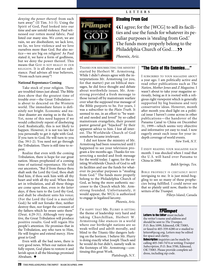#### **LETTERS**

*denying the power thereof:* from such turn away" (II Tim. 3:1-5). Using the Spirit of God, Paul looked into our time and saw untold violence. Paul witnessed our rotten moral fabric. Paul listed our many sins. We covet, we are vain, we are disobedient, we lack love, we lie, we love violence and we love ourselves more than God. But also notice—we are big on religion! As Paul stated it, we have a form of godliness, but we deny the power thereof. This means that GOD IS NOT REALLY IN OUR RELIGION. It is all show and no substance. Paul advises all true believers, "From such turn away"!

#### **National Repentance Coming**

Take stock of your religion. There are troubled times just ahead. The Bible does show that the greatest time of trouble ever—the Great Tribulation is about to descend on the Western world. The immediate future is definitely not bright. Economic and nuclear disaster are staring us in the face. Yet, none of this need happen if we would collectively repent of disobeying God. Realistically, this is not likely to happen. However, it is not too late for you personally to get it right with God. If you turn to God, He will turn to you (Isa. 59:1-2). You need not go through the Tribulation. There is still time to repent.

Realize that even with the coming Tribulation, there is hope for our great nation. Moses prophesied of a coming time of national repentance. He told our ancestors, "But if from thence thou shalt seek the Lord thy God, thou shalt find him, if thou seek him with all thy heart and with all thy soul. When thou art in tribulation, and all these things are come upon thee, even *in the latter days*, if thou turn to the Lord thy God, and shalt be obedient unto his voice; (For the Lord thy God is a merciful God;) he will not forsake thee, neither destroy thee, nor forget the covenant of thy fathers which he sware unto them" (Deut. 4:29-31). Although very negative, the Great Tribulation will produce positive results. God will regain His people's attention. He promises that in the Tribulation, any who turn to Him, He will forgive and extend mercy. How great is God!

Even with all the bad news, there is very good news. When our nation does fully repent, God plans to restore it and lavish upon it all the blessings promised Abraham. ◆

# rumpet STEALING FROM

#### Stealing From God

**CC**I agree; for the [WCG] to sell its facilities and use the funds for whatever its pe- $CI$  agree; for the [WCG] to sell its faciliculiar purposes is 'stealing from God.' The funds more properly belong to the Philadelphia Church of God....**>>**<br>Phoenix, Ariz.

*Phoenix, Ariz.*

THANKS FOR RESURRECTING THE MINISTRY started by Herbert W. Armstrong. While I didn't always agree with the interpretations Mr. Armstrong (or you, for that matter) put on biblical messages, he did force thought and debate about worthwhile issues. Mr. Armstrong provided a fresh message to those turned off by mainstream warfare over what the supposed true message of the Bible purports to be. For years, I was a subscriber to the *Plain Truth.* It seemed to me, in an effort to "be wanted and needed and loved" by so-called mainstream evangelists, their present pastor general got "hijacked" by their apparent advice to him. I lost all interest. The Worldwide Church of God somehow became irrelevant.

I did not know the ministry of Mr. Armstrong had been resurrected until I happened to see your television program a few months ago. Thanks for resurrecting a needed and fresh message for the world today. I agree; for the existing Worldwide Church of God to sell its facilities and use the funds for whatever its peculiar purposes is "stealing from God." The funds more properly belong to the Philadelphia Church of God, as being the more authentic successor to the Church which Mr. Armstrong founded. Unfortunately, it would appear, the WCG is authorized to engage in legalized larceny.

*Phoenix, Ariz.*

I'M HAPPY THAT MR. FLURRY IS HITTING the theme of leadership very hard and taking Churchillian, Herbert W. Armstrong-like stances in a world where our birthright nations are so weak-willed and adrift morally, and blind to the Titanic-like dangers lurking on the horizon. I believe Mr. Flurry is doing exactly what Joseph Tkach said he would do but didn't, namely walk in the footsteps of Mr. Armstrong—continuing this great Work.

Plattsburgh, N.Y.

#### "The Gate of His Enemies…"

I SUBSCRIBED TO YOUR MAGAZINE ABOUT a year ago. I am politically active and read other publications such as *The Nation, Mother Jones* and *Z Magazine.* I wasn't about to take your magazine seriously, being as it is rooted with a religious right viewpoint which is generally supported by big business and very conservative ideas. However, month after month you shed light on a political issue I haven't come across in other publications—the handover of the Panama Canal to China on December 31, 1999—which seems very objective and informative yet easy to read. I now eagerly await each issue for your indepth coverage of world events.

*New York, N.Y.*

I ENJOY READING YOUR MAGAZINE EACH month. I was shocked when I read that the U.S. will hand over Panama to China in 2000.

*Balch Springs, Tex.*

BIBLE PROPHECY IS CERTAINLY MOST intriguing to me. It is just mind-boggling to see so many of these prophecies being fulfilled. I could never see that so plainly until now, thanks to the writers of the *Trumpet.*

Pilleys Island, Canada

#### Trümpet

Letters to the Editor must include the writer's name and address and should be sent to *The Trumpet,*  P.O. Box 1099, Edmond, OK 73083, or faxed to 405-359-6280 or e-mailed to letters@pcog.org. Letters may be edited for space and clarity.

**Subscription** inquiries can be made by calling 405-340-7474 or writing *Trumpet Subscription*, P.O. Box 3700, Edmond, OK 73083. Please provide complete address, including zip code.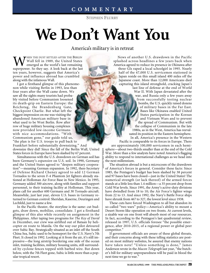**STEPHEN FLURRY**

# **We Don't Want You**

#### America's military is in retreat

THEN THE DUST SETTLED AFTER THE BERLIN Wall fell in 1989, the United States emerged as the world's last remaining superpower. So they say. A look back at the last ten years, however, suggests that America's power and influence abroad has crumbled along with the infamous Wall.

I got a firsthand glimpse of this phenomenon while visiting Berlin in 1993, less than four years after the Wall came down. We saw all the sights many tourists had probably visited before Communism loosened its death-grip on Eastern Europe: the Reichstag, the Brandenburg Gate, Checkpoint Charlie. But what left the biggest impression on me was visiting the abandoned American military base in what used to be West Berlin. Row after row of huge military housing complexes now provided low-income Germans with nice accommodations. "With Communism gone," our guide told us, "the plan is for U.S. troops to pull back to

Frankfurt before substantially downsizing." And downsize they did! Since the fall of the Berlin Wall, United States forces in Europe have been slashed by 67 percent.

Simultaneous with the U.S. drawdown on German soil has been Germany's *expansion* on U.S. soil. In 1990, Germany and the United States agreed to "deepen military cooperation"—meaning German expansion. In 1992, then-Secretary of Defense Richard Cheney agreed to add 12 German Tornados to the seven F-4 Phantom Jet fighters already stationed at Holloman Air Force Base in New Mexico. In 1995, Germany added 300 aircrew, along with families and support personnel, to their training facility at Holloman. This year, plans call for another 600 Germans and 30 Tornado aircraft. Meanwhile, just last year, eleven U.S. bases in Germany returned to German control: Sheridan, Kaserne, Deuringen and Lechfeld, just to name a few.

In the Pacific theater, the storyline is the same: cut budgets, draw down, mobilize, consolidate. I got a firsthand glimpse of this also while recently on assignment in the Philippines. After taping two programs for *The Key of David* in December, our crew was airlifted out of Bataan by helicopter en route to Manila. On the way our pilot detoured over Subic Bay. Strategically situated as an inlet off the South China Sea, Subic used to be homeport for the U.S. Navy's 7th Fleet. It closed in 1992. Looking at it from the air, it's still impressive—the long airstrip bordering one side of the ocean inlet, training facilities, military housing units, still surrounded by cyclone fences topped with barbed wire. But down below, with the 7th Fleet gone, Subic is little more than a popular tropical resort.

News of another U.S. drawdown in the Pacific splashed across headlines a few years back when America agreed to reduce its presence in Okinawa after three GIs raped a local schoolgirl in 1995. Nearly half of the 47,000 U.S. servicemen stationed in Japan reside on this small island 400 miles off the Japanese coast. More than 12,000 Americans died capturing this island stronghold, cracking Japan's last line of defense at the end of World War II. With Japan devastated after the war, and Russia only a few years away from successfully testing nuclear bombs, the U.S. quickly raised dozens of military bases in the Far East. Bases like Okinawa enabled United States participation in the Korean and Vietnam Wars and to prevent the spread of Communism. But with the collapse of Communism in the late 1980s, as in the West, America has reevaluated its position in the Eastern hemisphere. In all, America's presence in the Western Pacific is comparable to its forces in Europe. There

are approximately 100,000 servicemen in each hemisphere—about two-thirds smaller than at the end of the Cold War. More than a few analysts have noted America's flagging ability to respond to international challenges as we head into the next millennium. CORBIS/ JOEL HILLIKER

The situation abroad is but a microcosm of the drawdown of America's forces in general. Consider these facts: Since 1985, the Pentagon's budget has been slashed by 38 percent and 97 bases have been closed—just in the United States! The numerical strength (or lack thereof) of the armed forces stands at a little less than 1.4 million—a 35 percent drop from Cold War levels. Since 1991, the Army's active-duty divisions have dwindled from 18 to 10; the Air Force's fighter wings from 22 to 13. And since 1992, the Navy's Battle Force ships have shrunk from 467 to 327, the lowest level since 1938.

These cuts have forced Washington to all but abandon its so-called "two wars" policy—America's ability to mount a Desert Storm-like operation on two fronts. At current levels, a sizable war on one front will absorb most of our resources. In fact, according to the Pentagon's last quadrennial review, released in 1997, U.S. officials foresee "the possible emergence, after 2010-2015, of a regional power or global peer competitor."

If government officials are aware of these global threats, and their concerns along with these telling statistics are posted on most military websites, be assured that enemy nations have taken note! "Unless something is done," James Anderson wrote in the *Macon Telegraph* last year, "the butcher's bill for military unpreparedness will be paid in blood the next time we go to war."